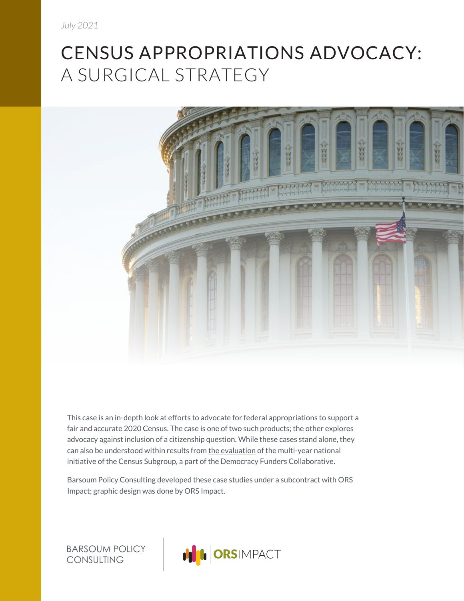## CENSUS APPROPRIATIONS ADVOCACY: A SURGICAL STRATEGY



This case is an in-depth look at efforts to advocate for federal appropriations to support a fair and accurate 2020 Census. The case is one of two such products; the other explores advocacy against inclusion of a citizenship question. While these cases stand alone, they can also be understood within results fro[m the evaluation](https://funderscommittee.org/2020censusnationalevaluation/) of the multi-year national initiative of the Census Subgroup, a part of the Democracy Funders Collaborative.

Barsoum Policy Consulting developed these case studies under a subcontract with ORS Impact; graphic design was done by ORS Impact.

BARSOUM POLICY CONSULTING

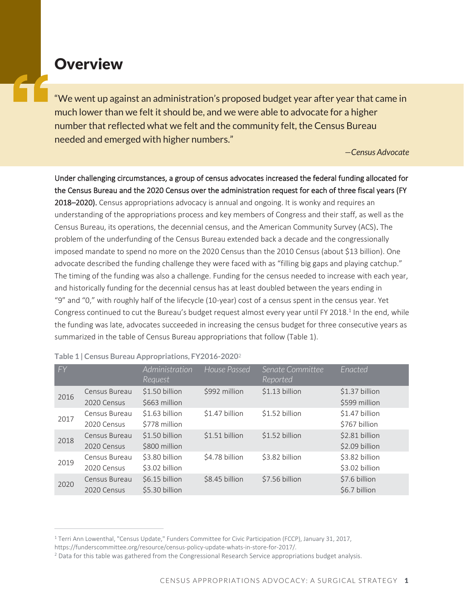## **Overview**

"We went up against an administration's proposed budget year after year that came in much lower than we felt it should be, and we were able to advocate for a higher number that reflected what we felt and the community felt, the Census Bureau needed and emerged with higher numbers."

*—Census Advocate*

Under challenging circumstances, a group of census advocates increased the federal funding allocated for the Census Bureau and the 2020 Census over the administration request for each of three fiscal years (FY 2018–2020). Census appropriations advocacy is annual and ongoing. It is wonky and requires an understanding of the appropriations process and key members of Congress and their staff, as well as the Census Bureau, its operations, the decennial census, and the American Community Survey (ACS). The problem of the underfunding of the Census Bureau extended back a decade and the congressionally imposed mandate to spend no more on the 2020 Census than the 2010 Census (about \$13 billion). One advocate described the funding challenge they were faced with as "filling big gaps and playing catchup." The timing of the funding was also a challenge. Funding for the census needed to increase with each year, and historically funding for the decennial census has at least doubled between the years ending in "9" and "0," with roughly half of the lifecycle (10-year) cost of a census spent in the census year. Yet Congress continued to cut the Bureau's budget request almost every year until FY 2018.<sup>1</sup> In the end, while the funding was late, advocates succeeded in increasing the census budget for three consecutive years as summarized in the table of Census Bureau appropriations that follow (Table 1).

| FY   |                              | Administration<br>Request        | House Passed   | Senate Committee<br>Reported | Enacted                          |
|------|------------------------------|----------------------------------|----------------|------------------------------|----------------------------------|
| 2016 | Census Bureau<br>2020 Census | \$1.50 billion<br>\$663 million  | \$992 million  | \$1.13 billion               | \$1.37 billion<br>\$599 million  |
| 2017 | Census Bureau<br>2020 Census | \$1.63 billion<br>\$778 million  | \$1.47 billion | \$1.52 billion               | \$1.47 billion<br>\$767 billion  |
| 2018 | Census Bureau<br>2020 Census | \$1.50 billion<br>\$800 million  | \$1.51 billion | \$1.52 billion               | \$2.81 billion<br>\$2.09 billion |
| 2019 | Census Bureau<br>2020 Census | \$3.80 billion<br>\$3.02 billion | \$4.78 billion | \$3.82 billion               | \$3.82 billion<br>\$3.02 billion |
| 2020 | Census Bureau<br>2020 Census | \$6.15 billion<br>\$5.30 billion | \$8.45 billion | \$7.56 billion               | \$7.6 billion<br>\$6.7 billion   |

|  |  | Table 1   Census Bureau Appropriations, FY2016-2020 <sup>2</sup> |  |
|--|--|------------------------------------------------------------------|--|
|  |  |                                                                  |  |

<sup>&</sup>lt;sup>1</sup> Terri Ann Lowenthal, "Census Update," Funders Committee for Civic Participation (FCCP), January 31, 2017,

https://funderscommittee.org/resource/census-policy-update-whats-in-store-for-2017/.

<sup>&</sup>lt;sup>2</sup> Data for this table was gathered from the Congressional Research Service appropriations budget analysis.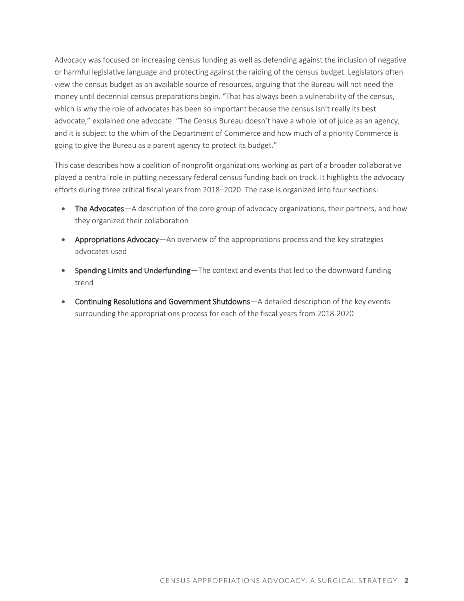Advocacy was focused on increasing census funding as well as defending against the inclusion of negative or harmful legislative language and protecting against the raiding of the census budget. Legislators often view the census budget as an available source of resources, arguing that the Bureau will not need the money until decennial census preparations begin. "That has always been a vulnerability of the census, which is why the role of advocates has been so important because the census isn't really its best advocate," explained one advocate. "The Census Bureau doesn't have a whole lot of juice as an agency, and it is subject to the whim of the Department of Commerce and how much of a priority Commerce is going to give the Bureau as a parent agency to protect its budget."

This case describes how a coalition of nonprofit organizations working as part of a broader collaborative played a central role in putting necessary federal census funding back on track. It highlights the advocacy efforts during three critical fiscal years from 2018–2020. The case is organized into four sections:

- The Advocates—A description of the core group of advocacy organizations, their partners, and how they organized their collaboration
- Appropriations Advocacy—An overview of the appropriations process and the key strategies advocates used
- Spending Limits and Underfunding—The context and events that led to the downward funding trend
- Continuing Resolutions and Government Shutdowns—A detailed description of the key events surrounding the appropriations process for each of the fiscal years from 2018-2020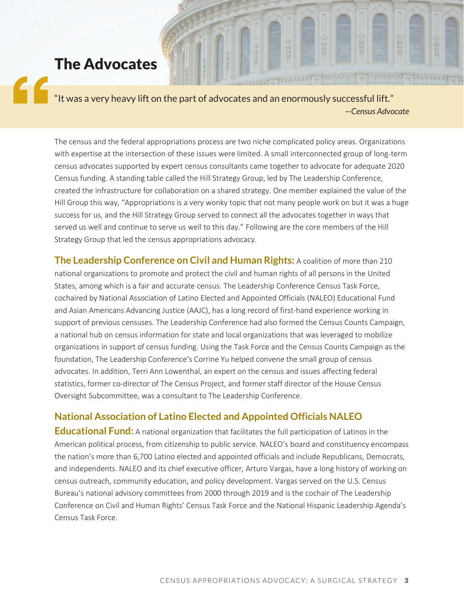### The Advocates

"It was a very heavy lift on the part of advocates and an enormously successful lift." *—Census Advocate*

> The census and the federal appropriations process are two niche complicated policy areas. Organizations with expertise at the intersection of these issues were limited. A small interconnected group of long-term census advocates supported by expert census consultants came together to advocate for adequate 2020 Census funding. A standing table called the Hill Strategy Group, led by The Leadership Conference, created the infrastructure for collaboration on a shared strategy. One member explained the value of the Hill Group this way, "Appropriations is a very wonky topic that not many people work on but it was a huge success for us, and the Hill Strategy Group served to connect all the advocates together in ways that served us well and continue to serve us well to this day." Following are the core members of the Hill Strategy Group that led the census appropriations advocacy.

> **The Leadership Conference on Civil and Human Rights:** A coalition of more than 210 national organizations to promote and protect the civil and human rights of all persons in the United States, among which is a fair and accurate census. The Leadership Conference Census Task Force, cochaired by National Association of Latino Elected and Appointed Officials (NALEO) Educational Fund and Asian Americans Advancing Justice (AAJC), has a long record of first-hand experience working in support of previous censuses. The Leadership Conference had also formed the Census Counts Campaign, a national hub on census information for state and local organizations that was leveraged to mobilize organizations in support of census funding. Using the Task Force and the Census Counts Campaign as the foundation, The Leadership Conference's Corrine Yu helped convene the small group of census advocates. In addition, Terri Ann Lowenthal, an expert on the census and issues affecting federal statistics, former co-director of The Census Project, and former staff director of the House Census Oversight Subcommittee, was a consultant to The Leadership Conference.

#### **National Association of Latino Elected and Appointed Officials NALEO**

**Educational Fund:** A national organization that facilitates the full participation of Latinos in the American political process, from citizenship to public service. NALEO's board and constituency encompass the nation's more than 6,700 Latino elected and appointed officials and include Republicans, Democrats, and independents. NALEO and its chief executive officer, Arturo Vargas, have a long history of working on census outreach, community education, and policy development. Vargas served on the U.S. Census Bureau's national advisory committees from 2000 through 2019 and is the cochair of The Leadership Conference on Civil and Human Rights' Census Task Force and the National Hispanic Leadership Agenda's Census Task Force.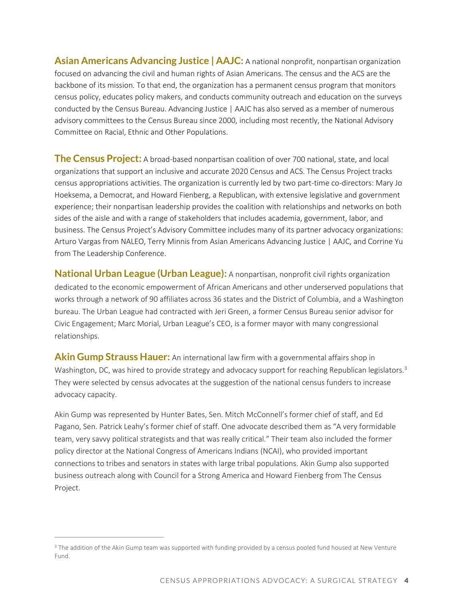**Asian Americans Advancing Justice | AAJC:** A national nonprofit, nonpartisan organization focused on advancing the civil and human rights of Asian Americans. The census and the ACS are the backbone of its mission. To that end, the organization has a permanent census program that monitors census policy, educates policy makers, and conducts community outreach and education on the surveys conducted by the Census Bureau. Advancing Justice | AAJC has also served as a member of numerous advisory committees to the Census Bureau since 2000, including most recently, the National Advisory Committee on Racial, Ethnic and Other Populations.

**The Census Project:** A broad-based nonpartisan coalition of over 700 national, state, and local organizations that support an inclusive and accurate 2020 Census and ACS. The Census Project tracks census appropriations activities. The organization is currently led by two part-time co-directors: Mary Jo Hoeksema, a Democrat, and Howard Fienberg, a Republican, with extensive legislative and government experience; their nonpartisan leadership provides the coalition with relationships and networks on both sides of the aisle and with a range of stakeholders that includes academia, government, labor, and business. The Census Project's Advisory Committee includes many of its partner advocacy organizations: Arturo Vargas from NALEO, Terry Minnis from Asian Americans Advancing Justice | AAJC, and Corrine Yu from The Leadership Conference.

**National Urban League (Urban League):** A nonpartisan, nonprofit civil rights organization dedicated to the economic empowerment of African Americans and other underserved populations that works through a network of 90 affiliates across 36 states and the District of Columbia, and a Washington bureau. The Urban League had contracted with Jeri Green, a former Census Bureau senior advisor for Civic Engagement; Marc Morial, Urban League's CEO, is a former mayor with many congressional relationships.

**Akin Gump Strauss Hauer:** An international law firm with a governmental affairs shop in Washington, DC, was hired to provide strategy and advocacy support for reaching Republican legislators.<sup>3</sup> They were selected by census advocates at the suggestion of the national census funders to increase advocacy capacity.

Akin Gump was represented by Hunter Bates, Sen. Mitch McConnell's former chief of staff, and Ed Pagano, Sen. Patrick Leahy's former chief of staff. One advocate described them as "A very formidable team, very savvy political strategists and that was really critical." Their team also included the former policy director at the National Congress of Americans Indians (NCAI), who provided important connections to tribes and senators in states with large tribal populations. Akin Gump also supported business outreach along with Council for a Strong America and Howard Fienberg from The Census Project.

<sup>&</sup>lt;sup>3</sup> The addition of the Akin Gump team was supported with funding provided by a census pooled fund housed at New Venture Fund.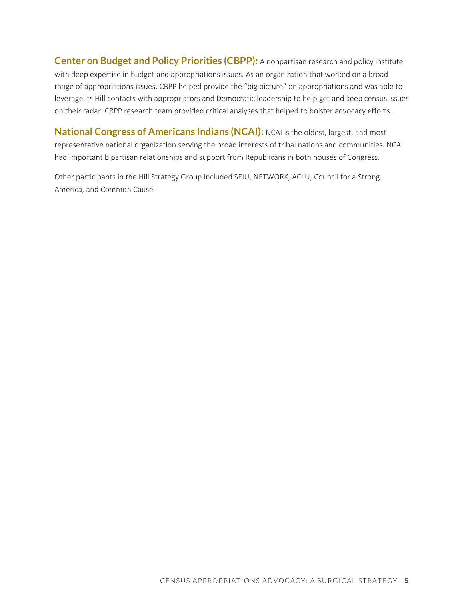**Center on Budget and Policy Priorities (CBPP):** A nonpartisan research and policy institute with deep expertise in budget and appropriations issues. As an organization that worked on a broad range of appropriations issues, CBPP helped provide the "big picture" on appropriations and was able to leverage its Hill contacts with appropriators and Democratic leadership to help get and keep census issues on their radar. CBPP research team provided critical analyses that helped to bolster advocacy efforts.

**National Congress of Americans Indians (NCAI):** NCAI is the oldest, largest, and most representative national organization serving the broad interests of tribal nations and communities. NCAI had important bipartisan relationships and support from Republicans in both houses of Congress.

Other participants in the Hill Strategy Group included SEIU, NETWORK, ACLU, Council for a Strong America, and Common Cause.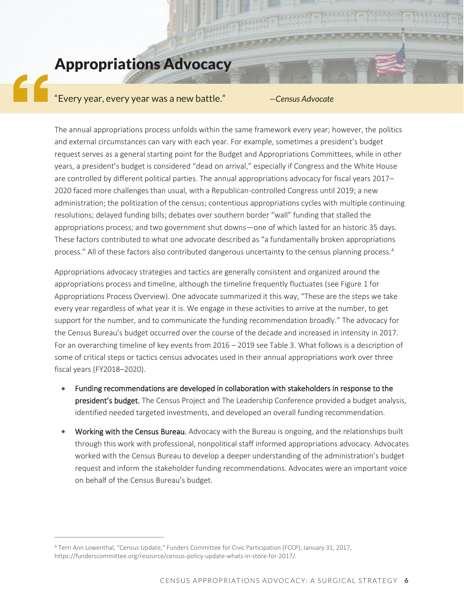## Appropriations Advocacy

# "Every year, every year was a new battle." *—Census Advocate*

The annual appropriations process unfolds within the same framework every year; however, the politics and external circumstances can vary with each year. For example, sometimes a president's budget request serves as a general starting point for the Budget and Appropriations Committees, while in other years, a president's budget is considered "dead on arrival," especially if Congress and the White House are controlled by different political parties. The annual appropriations advocacy for fiscal years 2017– 2020 faced more challenges than usual, with a Republican-controlled Congress until 2019; a new administration; the politization of the census; contentious appropriations cycles with multiple continuing resolutions; delayed funding bills; debates over southern border "wall" funding that stalled the appropriations process; and two government shut downs—one of which lasted for an historic 35 days. These factors contributed to what one advocate described as "a fundamentally broken appropriations process." All of these factors also contributed dangerous uncertainty to the census planning process.<sup>4</sup>

Appropriations advocacy strategies and tactics are generally consistent and organized around the appropriations process and timeline, although the timeline frequently fluctuates (see Figure 1 for Appropriations Process Overview). One advocate summarized it this way, "These are the steps we take every year regardless of what year it is. We engage in these activities to arrive at the number, to get support for the number, and to communicate the funding recommendation broadly." The advocacy for the Census Bureau's budget occurred over the course of the decade and increased in intensity in 2017. For an overarching timeline of key events from 2016 – 2019 see Table 3. What follows is a description of some of critical steps or tactics census advocates used in their annual appropriations work over three fiscal years (FY2018–2020).

- Funding recommendations are developed in collaboration with stakeholders in response to the president's budget. The Census Project and The Leadership Conference provided a budget analysis, identified needed targeted investments, and developed an overall funding recommendation.
- Working with the Census Bureau. Advocacy with the Bureau is ongoing, and the relationships built through this work with professional, nonpolitical staff informed appropriations advocacy. Advocates worked with the Census Bureau to develop a deeper understanding of the administration's budget request and inform the stakeholder funding recommendations. Advocates were an important voice on behalf of the Census Bureau's budget.

<sup>4</sup> Terri Ann Lowenthal, "Census Update," Funders Committee for Civic Participation (FCCP), January 31, 2017, https://funderscommittee.org/resource/census-policy-update-whats-in-store-for-2017/.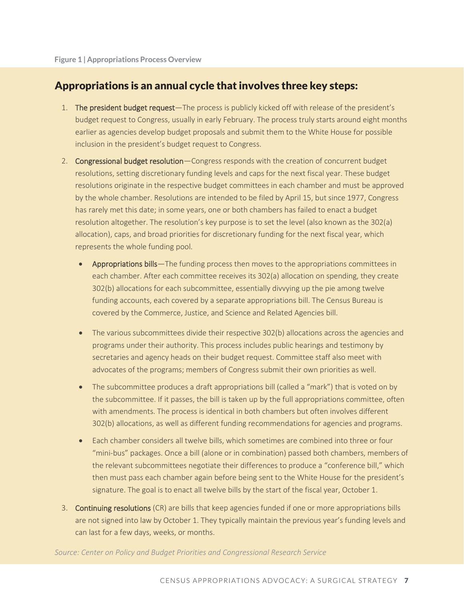#### Appropriations is an annual cycle that involves three key steps:

- 1. The president budget request—The process is publicly kicked off with release of the president's budget request to Congress, usually in early February. The process truly starts around eight months earlier as agencies develop budget proposals and submit them to the White House for possible inclusion in the president's budget request to Congress.
- 2. Congressional budget resolution—Congress responds with the creation of concurrent budget resolutions, setting discretionary funding levels and caps for the next fiscal year. These budget resolutions originate in the respective budget committees in each chamber and must be approved by the whole chamber. Resolutions are intended to be filed by April 15, but since 1977, Congress has rarely met this date; in some years, one or both chambers has failed to enact a budget resolution altogether. The resolution's key purpose is to set the level (also known as the 302(a) allocation), caps, and broad priorities for discretionary funding for the next fiscal year, which represents the whole funding pool.
	- Appropriations bills—The funding process then moves to the appropriations committees in each chamber. After each committee receives its 302(a) allocation on spending, they create 302(b) allocations for each subcommittee, essentially divvying up the pie among twelve funding accounts, each covered by a separate appropriations bill. The Census Bureau is covered by the Commerce, Justice, and Science and Related Agencies bill.
	- The various subcommittees divide their respective 302(b) allocations across the agencies and programs under their authority. This process includes public hearings and testimony by secretaries and agency heads on their budget request. Committee staff also meet with advocates of the programs; members of Congress submit their own priorities as well.
	- The subcommittee produces a draft appropriations bill (called a "mark") that is voted on by the subcommittee. If it passes, the bill is taken up by the full appropriations committee, often with amendments. The process is identical in both chambers but often involves different 302(b) allocations, as well as different funding recommendations for agencies and programs.
	- Each chamber considers all twelve bills, which sometimes are combined into three or four "mini-bus" packages. Once a bill (alone or in combination) passed both chambers, members of the relevant subcommittees negotiate their differences to produce a "conference bill," which then must pass each chamber again before being sent to the White House for the president's signature. The goal is to enact all twelve bills by the start of the fiscal year, October 1.
- 3. Continuing resolutions (CR) are bills that keep agencies funded if one or more appropriations bills are not signed into law by October 1. They typically maintain the previous year's funding levels and can last for a few days, weeks, or months.

*Source: Center on Policy and Budget Priorities and Congressional Research Service*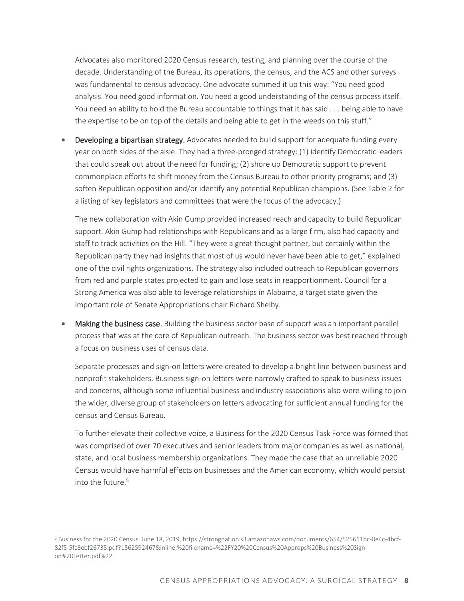Advocates also monitored 2020 Census research, testing, and planning over the course of the decade. Understanding of the Bureau, its operations, the census, and the ACS and other surveys was fundamental to census advocacy. One advocate summed it up this way: "You need good analysis. You need good information. You need a good understanding of the census process itself. You need an ability to hold the Bureau accountable to things that it has said . . . being able to have the expertise to be on top of the details and being able to get in the weeds on this stuff."

Developing a bipartisan strategy. Advocates needed to build support for adequate funding every year on both sides of the aisle. They had a three-pronged strategy: (1) identify Democratic leaders that could speak out about the need for funding; (2) shore up Democratic support to prevent commonplace efforts to shift money from the Census Bureau to other priority programs; and (3) soften Republican opposition and/or identify any potential Republican champions. (See Table 2 for a listing of key legislators and committees that were the focus of the advocacy.)

The new collaboration with Akin Gump provided increased reach and capacity to build Republican support. Akin Gump had relationships with Republicans and as a large firm, also had capacity and staff to track activities on the Hill. "They were a great thought partner, but certainly within the Republican party they had insights that most of us would never have been able to get," explained one of the civil rights organizations. The strategy also included outreach to Republican governors from red and purple states projected to gain and lose seats in reapportionment. Council for a Strong America was also able to leverage relationships in Alabama, a target state given the important role of Senate Appropriations chair Richard Shelby.

• Making the business case. Building the business sector base of support was an important parallel process that was at the core of Republican outreach. The business sector was best reached through a focus on business uses of census data.

Separate processes and sign-on letters were created to develop a bright line between business and nonprofit stakeholders. Business sign-on letters were narrowly crafted to speak to business issues and concerns, although some influential business and industry associations also were willing to join the wider, diverse group of stakeholders on letters advocating for sufficient annual funding for the census and Census Bureau.

To further elevate their collective voice, a Business for the 2020 Census Task Force was formed that was comprised of over 70 executives and senior leaders from major companies as well as national, state, and local business membership organizations. They made the case that an unreliable 2020 Census would have harmful effects on businesses and the American economy, which would persist into the future  $5$ 

<sup>5</sup> Business for the 2020 Census. June 18, 2019, https://strongnation.s3.amazonaws.com/documents/654/525611bc-0e4c-4bcf-82f5-5fc8ebf26735.pdf?1562592467&inline;%20filename=%22FY20%20Census%20Approps%20Business%20Signon%20Letter.pdf%22.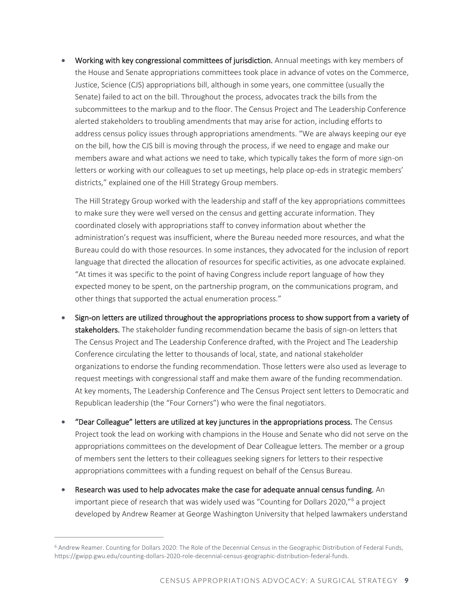• Working with key congressional committees of jurisdiction. Annual meetings with key members of the House and Senate appropriations committees took place in advance of votes on the Commerce, Justice, Science (CJS) appropriations bill, although in some years, one committee (usually the Senate) failed to act on the bill. Throughout the process, advocates track the bills from the subcommittees to the markup and to the floor. The Census Project and The Leadership Conference alerted stakeholders to troubling amendments that may arise for action, including efforts to address census policy issues through appropriations amendments. "We are always keeping our eye on the bill, how the CJS bill is moving through the process, if we need to engage and make our members aware and what actions we need to take, which typically takes the form of more sign-on letters or working with our colleagues to set up meetings, help place op-eds in strategic members' districts," explained one of the Hill Strategy Group members.

The Hill Strategy Group worked with the leadership and staff of the key appropriations committees to make sure they were well versed on the census and getting accurate information. They coordinated closely with appropriations staff to convey information about whether the administration's request was insufficient, where the Bureau needed more resources, and what the Bureau could do with those resources. In some instances, they advocated for the inclusion of report language that directed the allocation of resources for specific activities, as one advocate explained. "At times it was specific to the point of having Congress include report language of how they expected money to be spent, on the partnership program, on the communications program, and other things that supported the actual enumeration process."

- Sign-on letters are utilized throughout the appropriations process to show support from a variety of stakeholders. The stakeholder funding recommendation became the basis of sign-on letters that The Census Project and The Leadership Conference drafted, with the Project and The Leadership Conference circulating the letter to thousands of local, state, and national stakeholder organizations to endorse the funding recommendation. Those letters were also used as leverage to request meetings with congressional staff and make them aware of the funding recommendation. At key moments, The Leadership Conference and The Census Project sent letters to Democratic and Republican leadership (the "Four Corners") who were the final negotiators.
- "Dear Colleague" letters are utilized at key junctures in the appropriations process. The Census Project took the lead on working with champions in the House and Senate who did not serve on the appropriations committees on the development of Dear Colleague letters. The member or a group of members sent the letters to their colleagues seeking signers for letters to their respective appropriations committees with a funding request on behalf of the Census Bureau.
- Research was used to help advocates make the case for adequate annual census funding. An important piece of research that was widely used was "Counting for Dollars 2020,"<sup>6</sup> a project developed by Andrew Reamer at George Washington University that helped lawmakers understand

<sup>6</sup> Andrew Reamer. Counting for Dollars 2020: The Role of the Decennial Census in the Geographic Distribution of Federal Funds, https://gwipp.gwu.edu/counting-dollars-2020-role-decennial-census-geographic-distribution-federal-funds.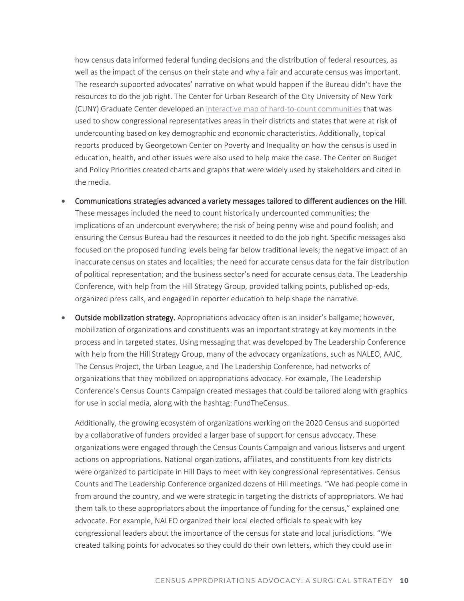how census data informed federal funding decisions and the distribution of federal resources, as well as the impact of the census on their state and why a fair and accurate census was important. The research supported advocates' narrative on what would happen if the Bureau didn't have the resources to do the job right. The Center for Urban Research of the City University of New York (CUNY) Graduate Center developed an [interactive map of hard-to-count communities](http://www.censushardtocountmaps2020.us/) that was used to show congressional representatives areas in their districts and states that were at risk of undercounting based on key demographic and economic characteristics. Additionally, topical reports produced by Georgetown Center on Poverty and Inequality on how the census is used in education, health, and other issues were also used to help make the case. The Center on Budget and Policy Priorities created charts and graphs that were widely used by stakeholders and cited in the media.

- Communications strategies advanced a variety messages tailored to different audiences on the Hill. These messages included the need to count historically undercounted communities; the implications of an undercount everywhere; the risk of being penny wise and pound foolish; and ensuring the Census Bureau had the resources it needed to do the job right. Specific messages also focused on the proposed funding levels being far below traditional levels; the negative impact of an inaccurate census on states and localities; the need for accurate census data for the fair distribution of political representation; and the business sector's need for accurate census data. The Leadership Conference, with help from the Hill Strategy Group, provided talking points, published op-eds, organized press calls, and engaged in reporter education to help shape the narrative.
- Outside mobilization strategy. Appropriations advocacy often is an insider's ballgame; however, mobilization of organizations and constituents was an important strategy at key moments in the process and in targeted states. Using messaging that was developed by The Leadership Conference with help from the Hill Strategy Group, many of the advocacy organizations, such as NALEO, AAJC, The Census Project, the Urban League, and The Leadership Conference, had networks of organizations that they mobilized on appropriations advocacy. For example, The Leadership Conference's Census Counts Campaign created messages that could be tailored along with graphics for use in social media, along with the hashtag: FundTheCensus.

Additionally, the growing ecosystem of organizations working on the 2020 Census and supported by a collaborative of funders provided a larger base of support for census advocacy. These organizations were engaged through the Census Counts Campaign and various listservs and urgent actions on appropriations. National organizations, affiliates, and constituents from key districts were organized to participate in Hill Days to meet with key congressional representatives. Census Counts and The Leadership Conference organized dozens of Hill meetings. "We had people come in from around the country, and we were strategic in targeting the districts of appropriators. We had them talk to these appropriators about the importance of funding for the census," explained one advocate. For example, NALEO organized their local elected officials to speak with key congressional leaders about the importance of the census for state and local jurisdictions. "We created talking points for advocates so they could do their own letters, which they could use in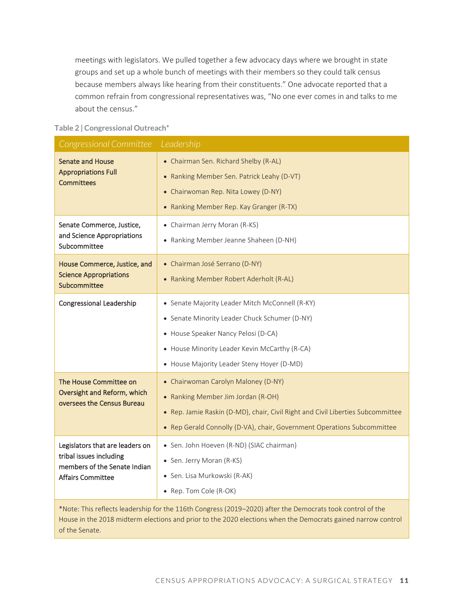meetings with legislators. We pulled together a few advocacy days where we brought in state groups and set up a whole bunch of meetings with their members so they could talk census because members always like hearing from their constituents." One advocate reported that a common refrain from congressional representatives was, "No one ever comes in and talks to me about the census."

#### **Table 2 | Congressional Outreach\***

| Congressional Committee                                                                                                | Leadership                                                                                                                                                                                                                              |
|------------------------------------------------------------------------------------------------------------------------|-----------------------------------------------------------------------------------------------------------------------------------------------------------------------------------------------------------------------------------------|
| <b>Senate and House</b><br><b>Appropriations Full</b><br><b>Committees</b>                                             | • Chairman Sen. Richard Shelby (R-AL)<br>• Ranking Member Sen. Patrick Leahy (D-VT)<br>• Chairwoman Rep. Nita Lowey (D-NY)<br>• Ranking Member Rep. Kay Granger (R-TX)                                                                  |
| Senate Commerce, Justice,<br>and Science Appropriations<br>Subcommittee                                                | • Chairman Jerry Moran (R-KS)<br>• Ranking Member Jeanne Shaheen (D-NH)                                                                                                                                                                 |
| House Commerce, Justice, and<br><b>Science Appropriations</b><br>Subcommittee                                          | • Chairman José Serrano (D-NY)<br>• Ranking Member Robert Aderholt (R-AL)                                                                                                                                                               |
| <b>Congressional Leadership</b>                                                                                        | • Senate Majority Leader Mitch McConnell (R-KY)<br>• Senate Minority Leader Chuck Schumer (D-NY)<br>• House Speaker Nancy Pelosi (D-CA)<br>• House Minority Leader Kevin McCarthy (R-CA)<br>• House Majority Leader Steny Hoyer (D-MD)  |
| The House Committee on<br>Oversight and Reform, which<br>oversees the Census Bureau                                    | • Chairwoman Carolyn Maloney (D-NY)<br>• Ranking Member Jim Jordan (R-OH)<br>• Rep. Jamie Raskin (D-MD), chair, Civil Right and Civil Liberties Subcommittee<br>• Rep Gerald Connolly (D-VA), chair, Government Operations Subcommittee |
| Legislators that are leaders on<br>tribal issues including<br>members of the Senate Indian<br><b>Affairs Committee</b> | • Sen. John Hoeven (R-ND) (SIAC chairman)<br>• Sen. Jerry Moran (R-KS)<br>· Sen. Lisa Murkowski (R-AK)<br>• Rep. Tom Cole (R-OK)                                                                                                        |

\*Note: This reflects leadership for the 116th Congress (2019–2020) after the Democrats took control of the House in the 2018 midterm elections and prior to the 2020 elections when the Democrats gained narrow control of the Senate.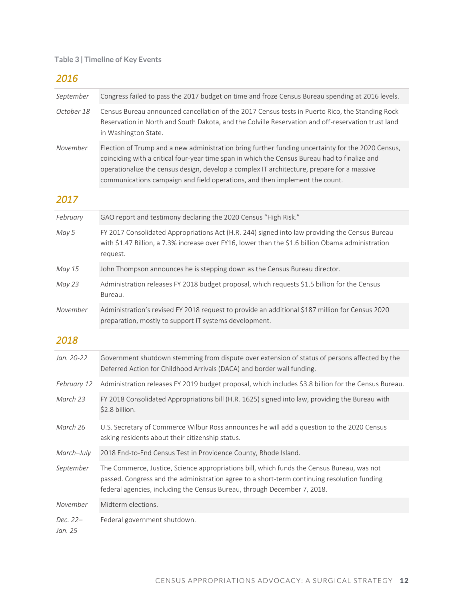#### **Table 3 | Timeline of Key Events**

#### *2016*

| September           | Congress failed to pass the 2017 budget on time and froze Census Bureau spending at 2016 levels.                                                                                                                                                                                                                                                                                |
|---------------------|---------------------------------------------------------------------------------------------------------------------------------------------------------------------------------------------------------------------------------------------------------------------------------------------------------------------------------------------------------------------------------|
| October 18          | Census Bureau announced cancellation of the 2017 Census tests in Puerto Rico, the Standing Rock<br>Reservation in North and South Dakota, and the Colville Reservation and off-reservation trust land<br>in Washington State.                                                                                                                                                   |
| November            | Election of Trump and a new administration bring further funding uncertainty for the 2020 Census,<br>coinciding with a critical four-year time span in which the Census Bureau had to finalize and<br>operationalize the census design, develop a complex IT architecture, prepare for a massive<br>communications campaign and field operations, and then implement the count. |
| 2017                |                                                                                                                                                                                                                                                                                                                                                                                 |
| February            | GAO report and testimony declaring the 2020 Census "High Risk."                                                                                                                                                                                                                                                                                                                 |
| May 5               | FY 2017 Consolidated Appropriations Act (H.R. 244) signed into law providing the Census Bureau<br>with \$1.47 Billion, a 7.3% increase over FY16, lower than the \$1.6 billion Obama administration<br>request.                                                                                                                                                                 |
| May 15              | John Thompson announces he is stepping down as the Census Bureau director.                                                                                                                                                                                                                                                                                                      |
| May 23              | Administration releases FY 2018 budget proposal, which requests \$1.5 billion for the Census<br>Bureau.                                                                                                                                                                                                                                                                         |
| November            | Administration's revised FY 2018 request to provide an additional \$187 million for Census 2020<br>preparation, mostly to support IT systems development.                                                                                                                                                                                                                       |
| 2018                |                                                                                                                                                                                                                                                                                                                                                                                 |
| Jan. 20-22          | Government shutdown stemming from dispute over extension of status of persons affected by the<br>Deferred Action for Childhood Arrivals (DACA) and border wall funding.                                                                                                                                                                                                         |
| February 12         | Administration releases FY 2019 budget proposal, which includes \$3.8 billion for the Census Bureau.                                                                                                                                                                                                                                                                            |
| March 23            | FY 2018 Consolidated Appropriations bill (H.R. 1625) signed into law, providing the Bureau with<br>\$2.8 billion.                                                                                                                                                                                                                                                               |
| March 26            | U.S. Secretary of Commerce Wilbur Ross announces he will add a question to the 2020 Census<br>asking residents about their citizenship status.                                                                                                                                                                                                                                  |
| March-July          | 2018 End-to-End Census Test in Providence County, Rhode Island.                                                                                                                                                                                                                                                                                                                 |
| September           | The Commerce, Justice, Science appropriations bill, which funds the Census Bureau, was not<br>passed. Congress and the administration agree to a short-term continuing resolution funding<br>federal agencies, including the Census Bureau, through December 7, 2018.                                                                                                           |
| November            | Midterm elections.                                                                                                                                                                                                                                                                                                                                                              |
| Dec. 22-<br>Jan. 25 | Federal government shutdown.                                                                                                                                                                                                                                                                                                                                                    |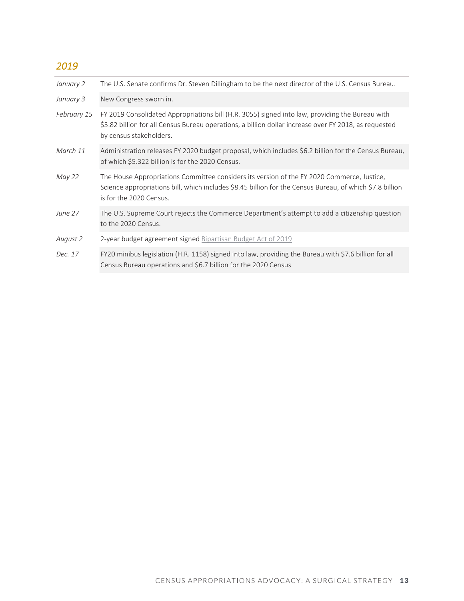#### *2019*

| January 2   | The U.S. Senate confirms Dr. Steven Dillingham to be the next director of the U.S. Census Bureau.                                                                                                                                   |
|-------------|-------------------------------------------------------------------------------------------------------------------------------------------------------------------------------------------------------------------------------------|
| January 3   | New Congress sworn in.                                                                                                                                                                                                              |
| February 15 | FY 2019 Consolidated Appropriations bill (H.R. 3055) signed into law, providing the Bureau with<br>\$3.82 billion for all Census Bureau operations, a billion dollar increase over FY 2018, as requested<br>by census stakeholders. |
| March 11    | Administration releases FY 2020 budget proposal, which includes \$6.2 billion for the Census Bureau,<br>of which \$5.322 billion is for the 2020 Census.                                                                            |
| May 22      | The House Appropriations Committee considers its version of the FY 2020 Commerce, Justice,<br>Science appropriations bill, which includes \$8.45 billion for the Census Bureau, of which \$7.8 billion<br>is for the 2020 Census.   |
| June 27     | The U.S. Supreme Court rejects the Commerce Department's attempt to add a citizenship question<br>to the 2020 Census.                                                                                                               |
| August 2    | 2-year budget agreement signed Bipartisan Budget Act of 2019                                                                                                                                                                        |
| Dec. 17     | FY20 minibus legislation (H.R. 1158) signed into law, providing the Bureau with \$7.6 billion for all<br>Census Bureau operations and \$6.7 billion for the 2020 Census                                                             |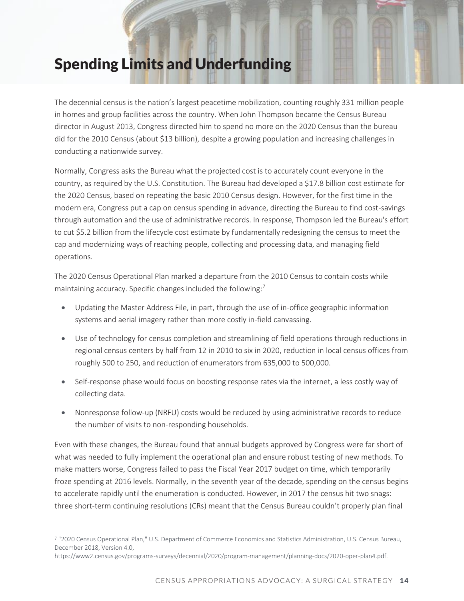## Spending Limits and Underfunding

The decennial census is the nation's largest peacetime mobilization, counting roughly 331 million people in homes and group facilities across the country. When John Thompson became the Census Bureau director in August 2013, Congress directed him to spend no more on the 2020 Census than the bureau did for the 2010 Census (about \$13 billion), despite a growing population and increasing challenges in conducting a nationwide survey.

Normally, Congress asks the Bureau what the projected cost is to accurately count everyone in the country, as required by the U.S. Constitution. The Bureau had developed a \$17.8 billion cost estimate for the 2020 Census, based on repeating the basic 2010 Census design. However, for the first time in the modern era, Congress put a cap on census spending in advance, directing the Bureau to find cost-savings through automation and the use of administrative records. In response, Thompson led the Bureau's effort to cut \$5.2 billion from the lifecycle cost estimate by fundamentally redesigning the census to meet the cap and modernizing ways of reaching people, collecting and processing data, and managing field operations.

The 2020 Census Operational Plan marked a departure from the 2010 Census to contain costs while maintaining accuracy. Specific changes included the following: $<sup>7</sup>$ </sup>

- Updating the Master Address File, in part, through the use of in-office geographic information systems and aerial imagery rather than more costly in-field canvassing.
- Use of technology for census completion and streamlining of field operations through reductions in regional census centers by half from 12 in 2010 to six in 2020, reduction in local census offices from roughly 500 to 250, and reduction of enumerators from 635,000 to 500,000.
- Self-response phase would focus on boosting response rates via the internet, a less costly way of collecting data.
- Nonresponse follow-up (NRFU) costs would be reduced by using administrative records to reduce the number of visits to non-responding households.

Even with these changes, the Bureau found that annual budgets approved by Congress were far short of what was needed to fully implement the operational plan and ensure robust testing of new methods. To make matters worse, Congress failed to pass the Fiscal Year 2017 budget on time, which temporarily froze spending at 2016 levels. Normally, in the seventh year of the decade, spending on the census begins to accelerate rapidly until the enumeration is conducted. However, in 2017 the census hit two snags: three short-term continuing resolutions (CRs) meant that the Census Bureau couldn't properly plan final

<sup>7</sup> "2020 Census Operational Plan," U.S. Department of Commerce Economics and Statistics Administration, U.S. Census Bureau, December 2018, Version 4.0,

https://www2.census.gov/programs-surveys/decennial/2020/program-management/planning-docs/2020-oper-plan4.pdf.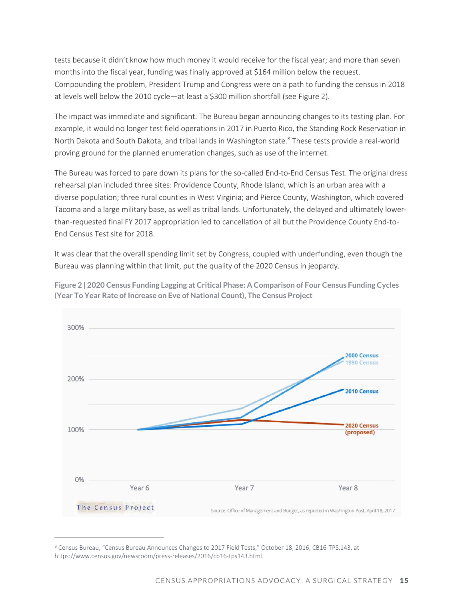tests because it didn't know how much money it would receive for the fiscal year; and more than seven months into the fiscal year, funding was finally approved at \$164 million below the request. Compounding the problem, President Trump and Congress were on a path to funding the census in 2018 at levels well below the 2010 cycle—at least a \$300 million shortfall (see Figure 2).

The impact was immediate and significant. The Bureau began announcing changes to its testing plan. For example, it would no longer test field operations in 2017 in Puerto Rico, the Standing Rock Reservation in North Dakota and South Dakota, and tribal lands in Washington state.<sup>8</sup> These tests provide a real-world proving ground for the planned enumeration changes, such as use of the internet.

The Bureau was forced to pare down its plans for the so-called End-to-End Census Test. The original dress rehearsal plan included three sites: Providence County, Rhode Island, which is an urban area with a diverse population; three rural counties in West Virginia; and Pierce County, Washington, which covered Tacoma and a large military base, as well as tribal lands. Unfortunately, the delayed and ultimately lowerthan-requested final FY 2017 appropriation led to cancellation of all but the Providence County End-to-End Census Test site for 2018.

It was clear that the overall spending limit set by Congress, coupled with underfunding, even though the Bureau was planning within that limit, put the quality of the 2020 Census in jeopardy.



**Figure 2 | 2020 Census Funding Lagging at Critical Phase: A Comparison of Four Census Funding Cycles (Year To Year Rate of Increase on Eve of National Count), The Census Project**

<sup>8</sup> Census Bureau, "Census Bureau Announces Changes to 2017 Field Tests," October 18, 2016, CB16-TPS.143, at https://www.census.gov/newsroom/press-releases/2016/cb16-tps143.html.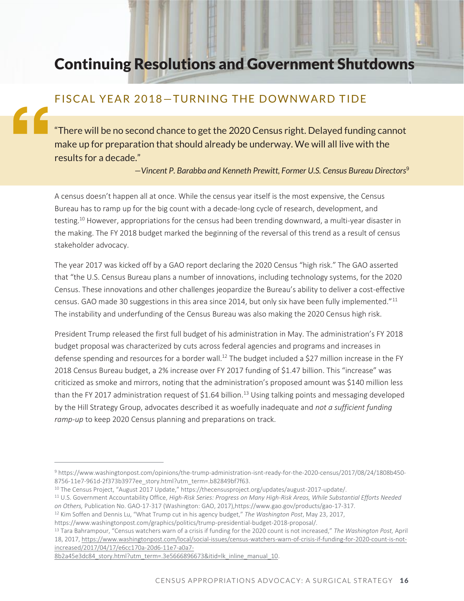## Continuing Resolutions and Government Shutdowns

#### FISCAL YEAR 2018-TURNING THE DOWNWARD TIDE

"There will be no second chance to get the 2020 Census right. Delayed funding cannot make up for preparation that should already be underway. We will all live with the results for a decade."

*—Vincent P. Barabba and Kenneth Prewitt, Former U.S. Census Bureau Directors*<sup>9</sup>

A census doesn't happen all at once. While the census year itself is the most expensive, the Census Bureau has to ramp up for the big count with a decade-long cycle of research, development, and testing.<sup>10</sup> However, appropriations for the census had been trending downward, a multi-year disaster in the making. The FY 2018 budget marked the beginning of the reversal of this trend as a result of census stakeholder advocacy.

The year 2017 was kicked off by a GAO report declaring the 2020 Census "high risk." The GAO asserted that "the U.S. Census Bureau plans a number of innovations, including technology systems, for the 2020 Census. These innovations and other challenges jeopardize the Bureau's ability to deliver a cost-effective census. GAO made 30 suggestions in this area since 2014, but only six have been fully implemented."<sup>11</sup> The instability and underfunding of the Census Bureau was also making the 2020 Census high risk.

President Trump released the first full budget of his administration in May. The administration's FY 2018 budget proposal was characterized by cuts across federal agencies and programs and increases in defense spending and resources for a border wall.<sup>12</sup> The budget included a \$27 million increase in the FY 2018 Census Bureau budget, a 2% increase over FY 2017 funding of \$1.47 billion. This "increase" was criticized as smoke and mirrors, noting that the administration's proposed amount was \$140 million less than the FY 2017 administration request of \$1.64 billion.<sup>13</sup> Using talking points and messaging developed by the Hill Strategy Group, advocates described it as woefully inadequate and *not a sufficient funding ramp-up* to keep 2020 Census planning and preparations on track.

<sup>13</sup> Tara Bahrampour, "Census watchers warn of a crisis if funding for the 2020 count is not increased," *The Washington Post,* April 18, 2017, [https://www.washingtonpost.com/local/social-issues/census-watchers-warn-of-crisis-if-funding-for-2020-count-is-not](https://www.washingtonpost.com/local/social-issues/census-watchers-warn-of-crisis-if-funding-for-2020-count-is-not-increased/2017/04/17/e6cc170a-20d6-11e7-a0a7-8b2a45e3dc84_story.html?utm_term=.3e5666896673&itid=lk_inline_manual_10)[increased/2017/04/17/e6cc170a-20d6-11e7-a0a7-](https://www.washingtonpost.com/local/social-issues/census-watchers-warn-of-crisis-if-funding-for-2020-count-is-not-increased/2017/04/17/e6cc170a-20d6-11e7-a0a7-8b2a45e3dc84_story.html?utm_term=.3e5666896673&itid=lk_inline_manual_10)

<sup>9</sup> https://www.washingtonpost.com/opinions/the-trump-administration-isnt-ready-for-the-2020-census/2017/08/24/1808b450- 8756-11e7-961d-2f373b3977ee\_story.html?utm\_term=.b82849bf7f63.

<sup>&</sup>lt;sup>10</sup> The Census Project, "August 2017 Update," https://thecensusproject.org/updates/august-2017-update/.

<sup>11</sup> U.S. Government Accountability Office, *High-Risk Series: Progress on Many High-Risk Areas, While Substantial Efforts Needed on Others,* Publication No. GAO-17-317 (Washington: GAO, 2017),https://www.gao.gov/products/gao-17-317.

<sup>12</sup> Kim Soffen and Dennis Lu, "What Trump cut in his agency budget," *The Washington Post*, May 23, 2017,

https://www.washingtonpost.com/graphics/politics/trump-presidential-budget-2018-proposal/.

[<sup>8</sup>b2a45e3dc84\\_story.html?utm\\_term=.3e5666896673&itid=lk\\_inline\\_manual\\_10.](https://www.washingtonpost.com/local/social-issues/census-watchers-warn-of-crisis-if-funding-for-2020-count-is-not-increased/2017/04/17/e6cc170a-20d6-11e7-a0a7-8b2a45e3dc84_story.html?utm_term=.3e5666896673&itid=lk_inline_manual_10)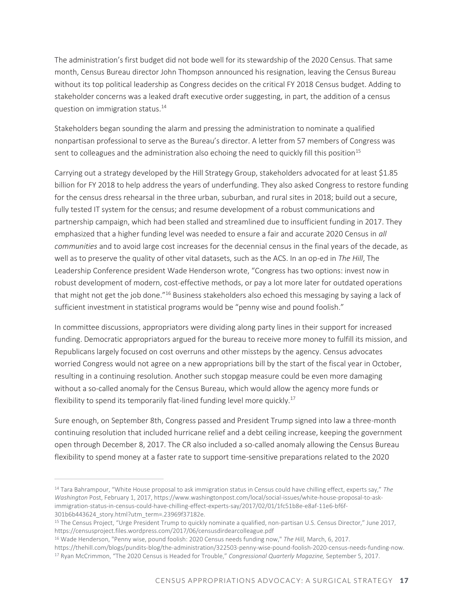The administration's first budget did not bode well for its stewardship of the 2020 Census. That same month, Census Bureau director John Thompson announced his resignation, leaving the Census Bureau without its top political leadership as Congress decides on the critical FY 2018 Census budget. Adding to stakeholder concerns was a leaked draft executive order suggesting, in part, the addition of a census question on immigration status.<sup>14</sup>

Stakeholders began sounding the alarm and pressing the administration to nominate a qualified nonpartisan professional to serve as the Bureau's director. A letter from 57 members of Congress was sent to colleagues and the administration also echoing the need to quickly fill this position<sup>15</sup>

Carrying out a strategy developed by the Hill Strategy Group, stakeholders advocated for at least \$1.85 billion for FY 2018 to help address the years of underfunding. They also asked Congress to restore funding for the census dress rehearsal in the three urban, suburban, and rural sites in 2018; build out a secure, fully tested IT system for the census; and resume development of a robust communications and partnership campaign, which had been stalled and streamlined due to insufficient funding in 2017. They emphasized that a higher funding level was needed to ensure a fair and accurate 2020 Census in *all communities* and to avoid large cost increases for the decennial census in the final years of the decade, as well as to preserve the quality of other vital datasets, such as the ACS. In an op-ed in *The Hill*, The Leadership Conference president Wade Henderson wrote, "Congress has two options: invest now in robust development of modern, cost-effective methods, or pay a lot more later for outdated operations that might not get the job done."<sup>16</sup> Business stakeholders also echoed this messaging by saying a lack of sufficient investment in statistical programs would be "penny wise and pound foolish."

In committee discussions, appropriators were dividing along party lines in their support for increased funding. Democratic appropriators argued for the bureau to receive more money to fulfill its mission, and Republicans largely focused on cost overruns and other missteps by the agency. Census advocates worried Congress would not agree on a new appropriations bill by the start of the fiscal year in October, resulting in a continuing resolution. Another such stopgap measure could be even more damaging without a so-called anomaly for the Census Bureau, which would allow the agency more funds or flexibility to spend its temporarily flat-lined funding level more quickly.<sup>17</sup>

Sure enough, on September 8th, Congress passed and President Trump signed into law a three-month continuing resolution that included hurricane relief and a debt ceiling increase, keeping the government open through December 8, 2017. The CR also included a so-called anomaly allowing the Census Bureau flexibility to spend money at a faster rate to support time-sensitive preparations related to the 2020

<sup>14</sup> Tara Bahrampour, "White House proposal to ask immigration status in Census could have chilling effect, experts say," *The Washington* Post, February 1, 2017, https://www.washingtonpost.com/local/social-issues/white-house-proposal-to-askimmigration-status-in-census-could-have-chilling-effect-experts-say/2017/02/01/1fc51b8e-e8af-11e6-bf6f-301b6b443624\_story.html?utm\_term=.23969f37182e.

<sup>&</sup>lt;sup>15</sup> The Census Project, "Urge President Trump to quickly nominate a qualified, non-partisan U.S. Census Director," June 2017, https://censusproject.files.wordpress.com/2017/06/censusdirdearcolleague.pdf

<sup>16</sup> Wade Henderson, "Penny wise, pound foolish: 2020 Census needs funding now," *The Hill,* March, 6, 2017.

https://thehill.com/blogs/pundits-blog/the-administration/322503-penny-wise-pound-foolish-2020-census-needs-funding-now. <sup>17</sup> Ryan McCrimmon, "The 2020 Census is Headed for Trouble," *Congressional Quarterly Magazine,* September 5, 2017.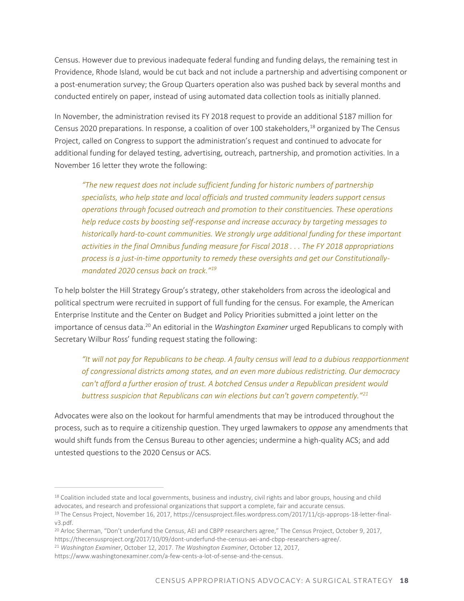Census. However due to previous inadequate federal funding and funding delays, the remaining test in Providence, Rhode Island, would be cut back and not include a partnership and advertising component or a post-enumeration survey; the Group Quarters operation also was pushed back by several months and conducted entirely on paper, instead of using automated data collection tools as initially planned.

In November, the administration revised its FY 2018 request to provide an additional \$187 million for Census 2020 preparations. In response, a coalition of over 100 stakeholders,<sup>18</sup> organized by The Census Project, called on Congress to support the administration's request and continued to advocate for additional funding for delayed testing, advertising, outreach, partnership, and promotion activities. In a November 16 letter they wrote the following:

*"The new request does not include sufficient funding for historic numbers of partnership specialists, who help state and local officials and trusted community leaders support census operations through focused outreach and promotion to their constituencies. These operations help reduce costs by boosting self-response and increase accuracy by targeting messages to historically hard-to-count communities. We strongly urge additional funding for these important activities in the final Omnibus funding measure for Fiscal 2018 . . . The FY 2018 appropriations process is a just-in-time opportunity to remedy these oversights and get our Constitutionallymandated 2020 census back on track."<sup>19</sup>*

To help bolster the Hill Strategy Group's strategy, other stakeholders from across the ideological and political spectrum were recruited in support of full funding for the census. For example, the American Enterprise Institute and the Center on Budget and Policy Priorities submitted a joint letter on the importance of census data.<sup>20</sup> An editorial in the *Washington Examiner* urged Republicans to comply with Secretary Wilbur Ross' funding request stating the following:

*"It will not pay for Republicans to be cheap. A faulty census will lead to a dubious reapportionment of congressional districts among states, and an even more dubious redistricting. Our democracy can't afford a further erosion of trust. A botched Census under a Republican president would buttress suspicion that Republicans can win elections but can't govern competently."<sup>21</sup>*

Advocates were also on the lookout for harmful amendments that may be introduced throughout the process, such as to require a citizenship question. They urged lawmakers to *oppose* any amendments that would shift funds from the Census Bureau to other agencies; undermine a high-quality ACS; and add untested questions to the 2020 Census or ACS.

<sup>&</sup>lt;sup>18</sup> Coalition included state and local governments, business and industry, civil rights and labor groups, housing and child advocates, and research and professional organizations that support a complete, fair and accurate census.

<sup>19</sup> The Census Project, November 16, 2017, https://censusproject.files.wordpress.com/2017/11/cjs-approps-18-letter-finalv3.pdf.

<sup>&</sup>lt;sup>20</sup> Arloc Sherman, "Don't underfund the Census, AEI and CBPP researchers agree," The Census Project, October 9, 2017, https://thecensusproject.org/2017/10/09/dont-underfund-the-census-aei-and-cbpp-researchers-agree/.

<sup>21</sup> *Washington Examiner*, October 12, 2017. *The Washington Examiner*, October 12, 2017,

https://www.washingtonexaminer.com/a-few-cents-a-lot-of-sense-and-the-census.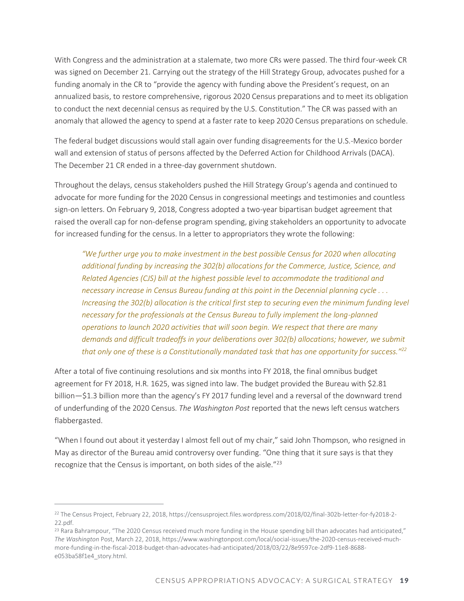With Congress and the administration at a stalemate, two more CRs were passed. The third four-week CR was signed on December 21. Carrying out the strategy of the Hill Strategy Group, advocates pushed for a funding anomaly in the CR to "provide the agency with funding above the President's request, on an annualized basis, to restore comprehensive, rigorous 2020 Census preparations and to meet its obligation to conduct the next decennial census as required by the U.S. Constitution." The CR was passed with an anomaly that allowed the agency to spend at a faster rate to keep 2020 Census preparations on schedule.

The federal budget discussions would stall again over funding disagreements for the U.S.-Mexico border wall and extension of status of persons affected by the Deferred Action for Childhood Arrivals (DACA). The December 21 CR ended in a three-day government shutdown.

Throughout the delays, census stakeholders pushed the Hill Strategy Group's agenda and continued to advocate for more funding for the 2020 Census in congressional meetings and testimonies and countless sign-on letters. On February 9, 2018, Congress adopted a two-year bipartisan budget agreement that raised the overall cap for non-defense program spending, giving stakeholders an opportunity to advocate for increased funding for the census. In a letter to appropriators they wrote the following:

*"We further urge you to make investment in the best possible Census for 2020 when allocating additional funding by increasing the 302(b) allocations for the Commerce, Justice, Science, and Related Agencies (CJS) bill at the highest possible level to accommodate the traditional and necessary increase in Census Bureau funding at this point in the Decennial planning cycle . . . Increasing the 302(b) allocation is the critical first step to securing even the minimum funding level necessary for the professionals at the Census Bureau to fully implement the long-planned operations to launch 2020 activities that will soon begin. We respect that there are many demands and difficult tradeoffs in your deliberations over 302(b) allocations; however, we submit that only one of these is a Constitutionally mandated task that has one opportunity for success."<sup>22</sup>*

After a total of five continuing resolutions and six months into FY 2018, the final omnibus budget agreement for FY 2018, H.R. 1625, was signed into law. The budget provided the Bureau with \$2.81 billion—\$1.3 billion more than the agency's FY 2017 funding level and a reversal of the downward trend of underfunding of the 2020 Census. *The Washington Post* reported that the news left census watchers flabbergasted.

"When I found out about it yesterday I almost fell out of my chair," said John Thompson, who resigned in May as director of the Bureau amid controversy over funding. "One thing that it sure says is that they recognize that the Census is important, on both sides of the aisle."<sup>23</sup>

<sup>22</sup> The Census Project, February 22, 2018, https://censusproject.files.wordpress.com/2018/02/final-302b-letter-for-fy2018-2- 22.pdf.

<sup>&</sup>lt;sup>23</sup> Rara Bahrampour, "The 2020 Census received much more funding in the House spending bill than advocates had anticipated," *The Washington* Post, March 22, 2018, https://www.washingtonpost.com/local/social-issues/the-2020-census-received-muchmore-funding-in-the-fiscal-2018-budget-than-advocates-had-anticipated/2018/03/22/8e9597ce-2df9-11e8-8688 e053ba58f1e4\_story.html.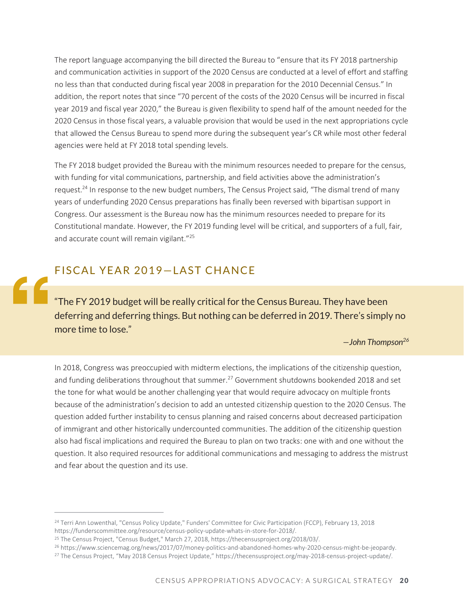The report language accompanying the bill directed the Bureau to "ensure that its FY 2018 partnership and communication activities in support of the 2020 Census are conducted at a level of effort and staffing no less than that conducted during fiscal year 2008 in preparation for the 2010 Decennial Census." In addition, the report notes that since "70 percent of the costs of the 2020 Census will be incurred in fiscal year 2019 and fiscal year 2020," the Bureau is given flexibility to spend half of the amount needed for the 2020 Census in those fiscal years, a valuable provision that would be used in the next appropriations cycle that allowed the Census Bureau to spend more during the subsequent year's CR while most other federal agencies were held at FY 2018 total spending levels.

The FY 2018 budget provided the Bureau with the minimum resources needed to prepare for the census, with funding for vital communications, partnership, and field activities above the administration's request.<sup>24</sup> In response to the new budget numbers, The Census Project said, "The dismal trend of many years of underfunding 2020 Census preparations has finally been reversed with bipartisan support in Congress. Our assessment is the Bureau now has the minimum resources needed to prepare for its Constitutional mandate. However, the FY 2019 funding level will be critical, and supporters of a full, fair, and accurate count will remain vigilant."<sup>25</sup>

#### FISCAL YEAR 2019-LAST CHANCE

"The FY 2019 budget will be really critical for the Census Bureau. They have been deferring and deferring things. But nothing can be deferred in 2019. There's simply no more time to lose."

#### *—John Thompson<sup>26</sup>*

In 2018, Congress was preoccupied with midterm elections, the implications of the citizenship question, and funding deliberations throughout that summer.<sup>27</sup> Government shutdowns bookended 2018 and set the tone for what would be another challenging year that would require advocacy on multiple fronts because of the administration's decision to add an untested citizenship question to the 2020 Census. The question added further instability to census planning and raised concerns about decreased participation of immigrant and other historically undercounted communities. The addition of the citizenship question also had fiscal implications and required the Bureau to plan on two tracks: one with and one without the question. It also required resources for additional communications and messaging to address the mistrust and fear about the question and its use.

<sup>&</sup>lt;sup>24</sup> Terri Ann Lowenthal, "Census Policy Update," Funders' Committee for Civic Participation (FCCP), February 13, 2018 https://funderscommittee.org/resource/census-policy-update-whats-in-store-for-2018/.

<sup>25</sup> The Census Project, "Census Budget," March 27, 2018, https://thecensusproject.org/2018/03/.

<sup>26</sup> https://www.sciencemag.org/news/2017/07/money-politics-and-abandoned-homes-why-2020-census-might-be-jeopardy.

<sup>&</sup>lt;sup>27</sup> The Census Project, "May 2018 Census Project Update," https://thecensusproject.org/may-2018-census-project-update/.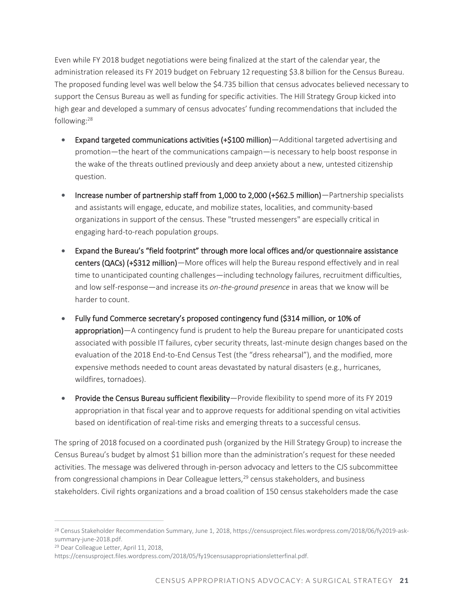Even while FY 2018 budget negotiations were being finalized at the start of the calendar year, the administration released its FY 2019 budget on February 12 requesting \$3.8 billion for the Census Bureau. The proposed funding level was well below the \$4.735 billion that census advocates believed necessary to support the Census Bureau as well as funding for specific activities. The Hill Strategy Group kicked into high gear and developed a summary of census advocates' funding recommendations that included the following:<sup>28</sup>

- Expand targeted communications activities (+\$100 million)—Additional targeted advertising and promotion—the heart of the communications campaign—is necessary to help boost response in the wake of the threats outlined previously and deep anxiety about a new, untested citizenship question.
- Increase number of partnership staff from 1,000 to 2,000 (+\$62.5 million)—Partnership specialists and assistants will engage, educate, and mobilize states, localities, and community-based organizations in support of the census. These "trusted messengers" are especially critical in engaging hard-to-reach population groups.
- Expand the Bureau's "field footprint" through more local offices and/or questionnaire assistance centers (QACs) (+\$312 million)—More offices will help the Bureau respond effectively and in real time to unanticipated counting challenges—including technology failures, recruitment difficulties, and low self-response—and increase its *on-the-ground presence* in areas that we know will be harder to count.
- Fully fund Commerce secretary's proposed contingency fund (\$314 million, or 10% of appropriation)—A contingency fund is prudent to help the Bureau prepare for unanticipated costs associated with possible IT failures, cyber security threats, last-minute design changes based on the evaluation of the 2018 End-to-End Census Test (the "dress rehearsal"), and the modified, more expensive methods needed to count areas devastated by natural disasters (e.g., hurricanes, wildfires, tornadoes).
- Provide the Census Bureau sufficient flexibility—Provide flexibility to spend more of its FY 2019 appropriation in that fiscal year and to approve requests for additional spending on vital activities based on identification of real-time risks and emerging threats to a successful census.

The spring of 2018 focused on a coordinated push (organized by the Hill Strategy Group) to increase the Census Bureau's budget by almost \$1 billion more than the administration's request for these needed activities. The message was delivered through in-person advocacy and letters to the CJS subcommittee from congressional champions in Dear Colleague letters,<sup>29</sup> census stakeholders, and business stakeholders. Civil rights organizations and a broad coalition of 150 census stakeholders made the case

<sup>28</sup> Census Stakeholder Recommendation Summary, June 1, 2018, https://censusproject.files.wordpress.com/2018/06/fy2019-asksummary-june-2018.pdf.

<sup>29</sup> Dear Colleague Letter, April 11, 2018,

https://censusproject.files.wordpress.com/2018/05/fy19censusappropriationsletterfinal.pdf.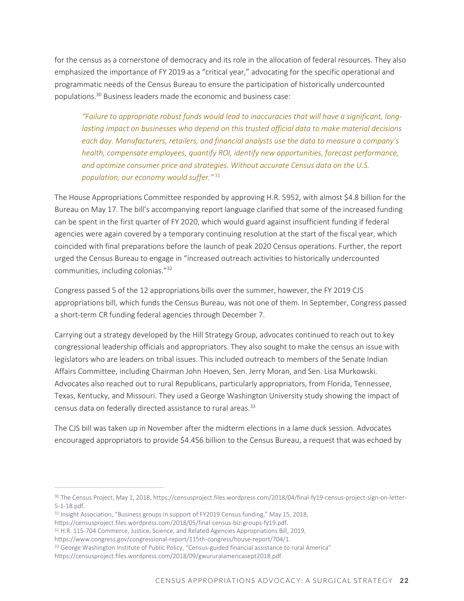for the census as a cornerstone of democracy and its role in the allocation of federal resources. They also emphasized the importance of FY 2019 as a "critical year," advocating for the specific operational and programmatic needs of the Census Bureau to ensure the participation of historically undercounted populations.<sup>30</sup> Business leaders made the economic and business case:

*"Failure to appropriate robust funds would lead to inaccuracies that will have a significant, longlasting impact on businesses who depend on this trusted official data to make material decisions each day. Manufacturers, retailers, and financial analysts use the data to measure a company's health, compensate employees, quantify ROI, identify new opportunities, forecast performance, and optimize consumer price and strategies. Without accurate Census data on the U.S. population, our economy would suffer."* <sup>31</sup>

The House Appropriations Committee responded by approving H.R. 5952, with almost \$4.8 billion for the Bureau on May 17. The bill's accompanying report language clarified that some of the increased funding can be spent in the first quarter of FY 2020, which would guard against insufficient funding if federal agencies were again covered by a temporary continuing resolution at the start of the fiscal year, which coincided with final preparations before the launch of peak 2020 Census operations. Further, the report urged the Census Bureau to engage in "increased outreach activities to historically undercounted communities, including colonias."<sup>32</sup>

Congress passed 5 of the 12 appropriations bills over the summer, however, the FY 2019 CJS appropriations bill, which funds the Census Bureau, was not one of them. In September, Congress passed a short-term CR funding federal agencies through December 7.

Carrying out a strategy developed by the Hill Strategy Group, advocates continued to reach out to key congressional leadership officials and appropriators. They also sought to make the census an issue with legislators who are leaders on tribal issues. This included outreach to members of the Senate Indian Affairs Committee, including Chairman John Hoeven, Sen. Jerry Moran, and Sen. Lisa Murkowski. Advocates also reached out to rural Republicans, particularly appropriators, from Florida, Tennessee, Texas, Kentucky, and Missouri. They used a George Washington University study showing the impact of census data on federally directed assistance to rural areas.<sup>33</sup>

The CJS bill was taken up in November after the midterm elections in a lame duck session. Advocates encouraged appropriators to provide \$4.456 billion to the Census Bureau, a request that was echoed by

https://censusproject.files.wordpress.com/2018/05/final-census-biz-groups-fy19.pdf.

<sup>30</sup> The Census Project, May 1, 2018, https://censusproject.files.wordpress.com/2018/04/final-fy19-census-project-sign-on-letter-5-1-18.pdf.

<sup>&</sup>lt;sup>31</sup> Insight Association, "Business groups in support of FY2019 Census funding," May 15, 2018,

<sup>&</sup>lt;sup>32</sup> H.R. 115-704 Commerce, Justice, Science, and Related Agencies Appropriations Bill, 2019,

https://www.congress.gov/congressional-report/115th-congress/house-report/704/1.

<sup>33</sup> George Washington Institute of Public Policy, "Census-guided financial assistance to rural America"

https://censusproject.files.wordpress.com/2018/09/gwururalamericasept2018.pdf.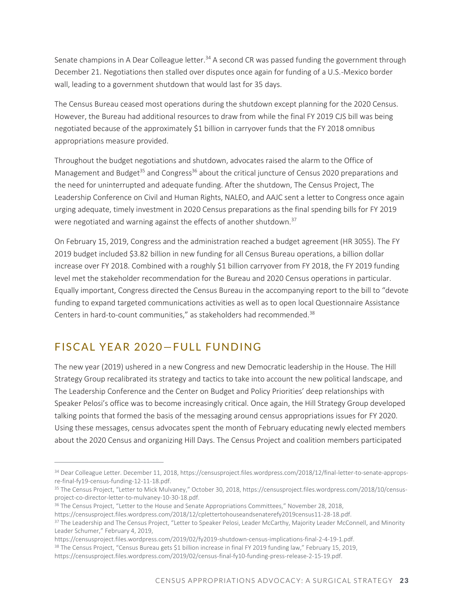Senate champions in A Dear Colleague letter.<sup>34</sup> A second CR was passed funding the government through December 21. Negotiations then stalled over disputes once again for funding of a U.S.-Mexico border wall, leading to a government shutdown that would last for 35 days.

The Census Bureau ceased most operations during the shutdown except planning for the 2020 Census. However, the Bureau had additional resources to draw from while the final FY 2019 CJS bill was being negotiated because of the approximately \$1 billion in carryover funds that the FY 2018 omnibus appropriations measure provided.

Throughout the budget negotiations and shutdown, advocates raised the alarm to the Office of Management and Budget<sup>35</sup> and Congress<sup>36</sup> about the critical juncture of Census 2020 preparations and the need for uninterrupted and adequate funding. After the shutdown, The Census Project, The Leadership Conference on Civil and Human Rights, NALEO, and AAJC sent a letter to Congress once again urging adequate, timely investment in 2020 Census preparations as the final spending bills for FY 2019 were negotiated and warning against the effects of another shutdown.<sup>37</sup>

On February 15, 2019, Congress and the administration reached a budget agreement (HR 3055). The FY 2019 budget included \$3.82 billion in new funding for all Census Bureau operations, a billion dollar increase over FY 2018. Combined with a roughly \$1 billion carryover from FY 2018, the FY 2019 funding level met the stakeholder recommendation for the Bureau and 2020 Census operations in particular. Equally important, Congress directed the Census Bureau in the accompanying report to the bill to "devote funding to expand targeted communications activities as well as to open local Questionnaire Assistance Centers in hard-to-count communities," as stakeholders had recommended.<sup>38</sup>

#### FISCAL YEAR 2020-FULL FUNDING

The new year (2019) ushered in a new Congress and new Democratic leadership in the House. The Hill Strategy Group recalibrated its strategy and tactics to take into account the new political landscape, and The Leadership Conference and the Center on Budget and Policy Priorities' deep relationships with Speaker Pelosi's office was to become increasingly critical. Once again, the Hill Strategy Group developed talking points that formed the basis of the messaging around census appropriations issues for FY 2020. Using these messages, census advocates spent the month of February educating newly elected members about the 2020 Census and organizing Hill Days. The Census Project and coalition members participated

<sup>34</sup> Dear Colleague Letter. December 11, 2018, https://censusproject.files.wordpress.com/2018/12/final-letter-to-senate-appropsre-final-fy19-census-funding-12-11-18.pdf.

<sup>35</sup> The Census Project, "Letter to Mick Mulvaney," October 30, 2018, https://censusproject.files.wordpress.com/2018/10/censusproject-co-director-letter-to-mulvaney-10-30-18.pdf.

<sup>&</sup>lt;sup>36</sup> The Census Project, "Letter to the House and Senate Appropriations Committees," November 28, 2018,

https://censusproject.files.wordpress.com/2018/12/cplettertohouseandsenaterefy2019census11-28-18.pdf.

<sup>&</sup>lt;sup>37</sup> The Leadership and The Census Project, "Letter to Speaker Pelosi, Leader McCarthy, Majority Leader McConnell, and Minority Leader Schumer," February 4, 2019,

https://censusproject.files.wordpress.com/2019/02/fy2019-shutdown-census-implications-final-2-4-19-1.pdf.

<sup>&</sup>lt;sup>38</sup> The Census Project, "Census Bureau gets \$1 billion increase in final FY 2019 funding law," February 15, 2019,

https://censusproject.files.wordpress.com/2019/02/census-final-fy10-funding-press-release-2-15-19.pdf.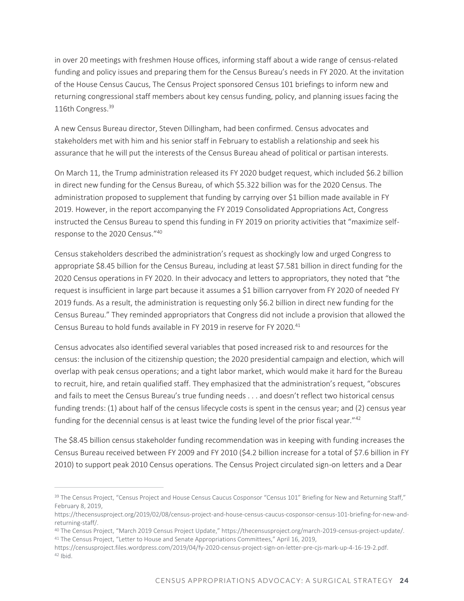in over 20 meetings with freshmen House offices, informing staff about a wide range of census-related funding and policy issues and preparing them for the Census Bureau's needs in FY 2020. At the invitation of the House Census Caucus, The Census Project sponsored Census 101 briefings to inform new and returning congressional staff members about key census funding, policy, and planning issues facing the 116th Congress.<sup>39</sup>

A new Census Bureau director, Steven Dillingham, had been confirmed. Census advocates and stakeholders met with him and his senior staff in February to establish a relationship and seek his assurance that he will put the interests of the Census Bureau ahead of political or partisan interests.

On March 11, the Trump administration released its FY 2020 budget request, which included \$6.2 billion in direct new funding for the Census Bureau, of which \$5.322 billion was for the 2020 Census. The administration proposed to supplement that funding by carrying over \$1 billion made available in FY 2019. However, in the report accompanying the FY 2019 Consolidated Appropriations Act, Congress instructed the Census Bureau to spend this funding in FY 2019 on priority activities that "maximize selfresponse to the 2020 Census."<sup>40</sup>

Census stakeholders described the administration's request as shockingly low and urged Congress to appropriate \$8.45 billion for the Census Bureau, including at least \$7.581 billion in direct funding for the 2020 Census operations in FY 2020. In their advocacy and letters to appropriators, they noted that "the request is insufficient in large part because it assumes a \$1 billion carryover from FY 2020 of needed FY 2019 funds. As a result, the administration is requesting only \$6.2 billion in direct new funding for the Census Bureau." They reminded appropriators that Congress did not include a provision that allowed the Census Bureau to hold funds available in FY 2019 in reserve for FY 2020.<sup>41</sup>

Census advocates also identified several variables that posed increased risk to and resources for the census: the inclusion of the citizenship question; the 2020 presidential campaign and election, which will overlap with peak census operations; and a tight labor market, which would make it hard for the Bureau to recruit, hire, and retain qualified staff. They emphasized that the administration's request, "obscures and fails to meet the Census Bureau's true funding needs . . . and doesn't reflect two historical census funding trends: (1) about half of the census lifecycle costs is spent in the census year; and (2) census year funding for the decennial census is at least twice the funding level of the prior fiscal year." $42$ 

The \$8.45 billion census stakeholder funding recommendation was in keeping with funding increases the Census Bureau received between FY 2009 and FY 2010 (\$4.2 billion increase for a total of \$7.6 billion in FY 2010) to support peak 2010 Census operations. The Census Project circulated sign-on letters and a Dear

<sup>&</sup>lt;sup>39</sup> The Census Project, "Census Project and House Census Caucus Cosponsor "Census 101" Briefing for New and Returning Staff," February 8, 2019,

https://thecensusproject.org/2019/02/08/census-project-and-house-census-caucus-cosponsor-census-101-briefing-for-new-andreturning-staff/.

<sup>40</sup> The Census Project, "March 2019 Census Project Update," https://thecensusproject.org/march-2019-census-project-update/. <sup>41</sup> The Census Project, "Letter to House and Senate Appropriations Committees," April 16, 2019,

https://censusproject.files.wordpress.com/2019/04/fy-2020-census-project-sign-on-letter-pre-cjs-mark-up-4-16-19-2.pdf.  $42$  Ibid.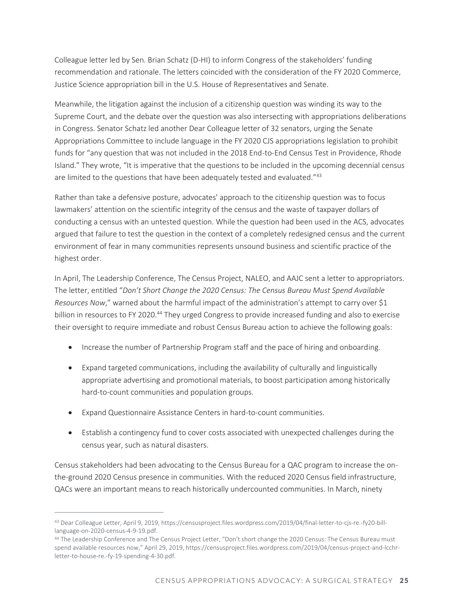Colleague letter led by Sen. Brian Schatz (D-HI) to inform Congress of the stakeholders' funding recommendation and rationale. The letters coincided with the consideration of the FY 2020 Commerce, Justice Science appropriation bill in the U.S. House of Representatives and Senate.

Meanwhile, the litigation against the inclusion of a citizenship question was winding its way to the Supreme Court, and the debate over the question was also intersecting with appropriations deliberations in Congress. Senator Schatz led another Dear Colleague letter of 32 senators, urging the Senate Appropriations Committee to include language in the FY 2020 CJS appropriations legislation to prohibit funds for "any question that was not included in the 2018 End-to-End Census Test in Providence, Rhode Island." They wrote, "It is imperative that the questions to be included in the upcoming decennial census are limited to the questions that have been adequately tested and evaluated."43

Rather than take a defensive posture, advocates' approach to the citizenship question was to focus lawmakers' attention on the scientific integrity of the census and the waste of taxpayer dollars of conducting a census with an untested question. While the question had been used in the ACS, advocates argued that failure to test the question in the context of a completely redesigned census and the current environment of fear in many communities represents unsound business and scientific practice of the highest order.

In April, The Leadership Conference, The Census Project, NALEO, and AAJC sent a letter to appropriators. The letter, entitled "*Don't Short Change the 2020 Census: The Census Bureau Must Spend Available Resources Now*," warned about the harmful impact of the administration's attempt to carry over \$1 billion in resources to FY 2020.<sup>44</sup> They urged Congress to provide increased funding and also to exercise their oversight to require immediate and robust Census Bureau action to achieve the following goals:

- Increase the number of Partnership Program staff and the pace of hiring and onboarding.
- Expand targeted communications, including the availability of culturally and linguistically appropriate advertising and promotional materials, to boost participation among historically hard-to-count communities and population groups.
- Expand Questionnaire Assistance Centers in hard-to-count communities.
- Establish a contingency fund to cover costs associated with unexpected challenges during the census year, such as natural disasters.

Census stakeholders had been advocating to the Census Bureau for a QAC program to increase the onthe-ground 2020 Census presence in communities. With the reduced 2020 Census field infrastructure, QACs were an important means to reach historically undercounted communities. In March, ninety

<sup>43</sup> Dear Colleague Letter, April 9, 2019, https://censusproject.files.wordpress.com/2019/04/final-letter-to-cjs-re.-fy20-billlanguage-on-2020-census-4-9-19.pdf.

<sup>44</sup> The Leadership Conference and The Census Project Letter, "Don't short change the 2020 Census: The Census Bureau must spend available resources now," April 29, 2019, https://censusproject.files.wordpress.com/2019/04/census-project-and-lcchrletter-to-house-re.-fy-19-spending-4-30.pdf.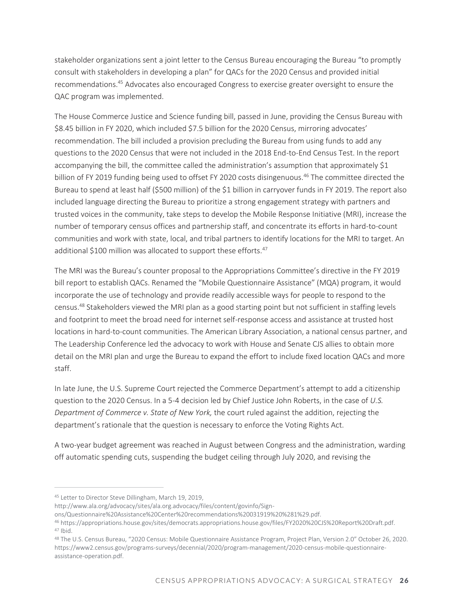stakeholder organizations sent a joint letter to the Census Bureau encouraging the Bureau "to promptly consult with stakeholders in developing a plan" for QACs for the 2020 Census and provided initial recommendations.<sup>45</sup> Advocates also encouraged Congress to exercise greater oversight to ensure the QAC program was implemented.

The House Commerce Justice and Science funding bill, passed in June, providing the Census Bureau with \$8.45 billion in FY 2020, which included \$7.5 billion for the 2020 Census, mirroring advocates' recommendation. The bill included a provision precluding the Bureau from using funds to add any questions to the 2020 Census that were not included in the 2018 End-to-End Census Test. In the report accompanying the bill, the committee called the administration's assumption that approximately \$1 billion of FY 2019 funding being used to offset FY 2020 costs disingenuous.<sup>46</sup> The committee directed the Bureau to spend at least half (\$500 million) of the \$1 billion in carryover funds in FY 2019. The report also included language directing the Bureau to prioritize a strong engagement strategy with partners and trusted voices in the community, take steps to develop the Mobile Response Initiative (MRI), increase the number of temporary census offices and partnership staff, and concentrate its efforts in hard-to-count communities and work with state, local, and tribal partners to identify locations for the MRI to target. An additional \$100 million was allocated to support these efforts.<sup>47</sup>

The MRI was the Bureau's counter proposal to the Appropriations Committee's directive in the FY 2019 bill report to establish QACs. Renamed the "Mobile Questionnaire Assistance" (MQA) program, it would incorporate the use of technology and provide readily accessible ways for people to respond to the census.<sup>48</sup> Stakeholders viewed the MRI plan as a good starting point but not sufficient in staffing levels and footprint to meet the broad need for internet self-response access and assistance at trusted host locations in hard-to-count communities. The American Library Association, a national census partner, and The Leadership Conference led the advocacy to work with House and Senate CJS allies to obtain more detail on the MRI plan and urge the Bureau to expand the effort to include fixed location QACs and more staff.

In late June, the U.S. Supreme Court rejected the Commerce Department's attempt to add a citizenship question to the 2020 Census. In a 5-4 decision led by Chief Justice John Roberts, in the case of *U.S. Department of Commerce v. State of New York,* the court ruled against the addition, rejecting the department's rationale that the question is necessary to enforce the Voting Rights Act.

A two-year budget agreement was reached in August between Congress and the administration, warding off automatic spending cuts, suspending the budget ceiling through July 2020, and revising the

<sup>45</sup> Letter to Director Steve Dillingham, March 19, 2019,

http://www.ala.org/advocacy/sites/ala.org.advocacy/files/content/govinfo/Sign-

ons/Questionnaire%20Assistance%20Center%20recommendations%20031919%20%281%29.pdf.

<sup>46</sup> https://appropriations.house.gov/sites/democrats.appropriations.house.gov/files/FY2020%20CJS%20Report%20Draft.pdf.  $47$  Ibid.

<sup>48</sup> The U.S. Census Bureau, "2020 Census: Mobile Questionnaire Assistance Program, Project Plan, Version 2.0" October 26, 2020. https://www2.census.gov/programs-surveys/decennial/2020/program-management/2020-census-mobile-questionnaireassistance-operation.pdf.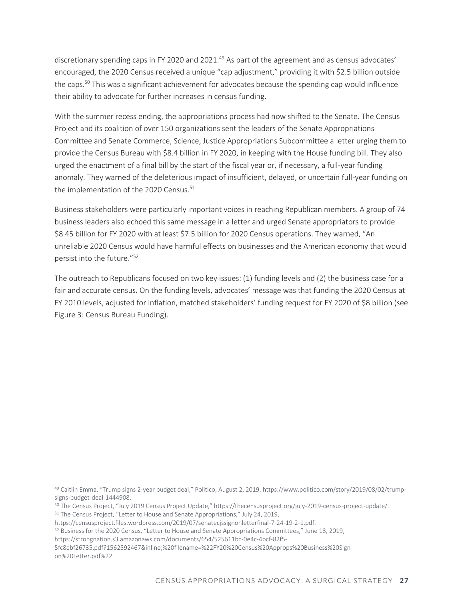discretionary spending caps in FY 2020 and 2021.<sup>49</sup> As part of the agreement and as census advocates' encouraged, the 2020 Census received a unique "cap adjustment," providing it with \$2.5 billion outside the caps.<sup>50</sup> This was a significant achievement for advocates because the spending cap would influence their ability to advocate for further increases in census funding.

With the summer recess ending, the appropriations process had now shifted to the Senate. The Census Project and its coalition of over 150 organizations sent the leaders of the Senate Appropriations Committee and Senate Commerce, Science, Justice Appropriations Subcommittee a letter urging them to provide the Census Bureau with \$8.4 billion in FY 2020, in keeping with the House funding bill. They also urged the enactment of a final bill by the start of the fiscal year or, if necessary, a full-year funding anomaly. They warned of the deleterious impact of insufficient, delayed, or uncertain full-year funding on the implementation of the 2020 Census.<sup>51</sup>

Business stakeholders were particularly important voices in reaching Republican members. A group of 74 business leaders also echoed this same message in a letter and urged Senate appropriators to provide \$8.45 billion for FY 2020 with at least \$7.5 billion for 2020 Census operations. They warned, "An unreliable 2020 Census would have harmful effects on businesses and the American economy that would persist into the future."<sup>52</sup>

The outreach to Republicans focused on two key issues: (1) funding levels and (2) the business case for a fair and accurate census. On the funding levels, advocates' message was that funding the 2020 Census at FY 2010 levels, adjusted for inflation, matched stakeholders' funding request for FY 2020 of \$8 billion (see Figure 3: Census Bureau Funding).

<sup>49</sup> Caitlin Emma, "Trump signs 2-year budget deal," Politico, August 2, 2019, https://www.politico.com/story/2019/08/02/trumpsigns-budget-deal-1444908.

<sup>50</sup> The Census Project, "July 2019 Census Project Update," https://thecensusproject.org/july-2019-census-project-update/.

<sup>51</sup> The Census Project, "Letter to House and Senate Appropriations," July 24, 2019,

https://censusproject.files.wordpress.com/2019/07/senatecjssignonletterfinal-7-24-19-2-1.pdf.

<sup>52</sup> Business for the 2020 Census, "Letter to House and Senate Appropriations Committees," June 18, 2019,

https://strongnation.s3.amazonaws.com/documents/654/525611bc-0e4c-4bcf-82f5-

<sup>5</sup>fc8ebf26735.pdf?1562592467&inline;%20filename=%22FY20%20Census%20Approps%20Business%20Signon%20Letter.pdf%22.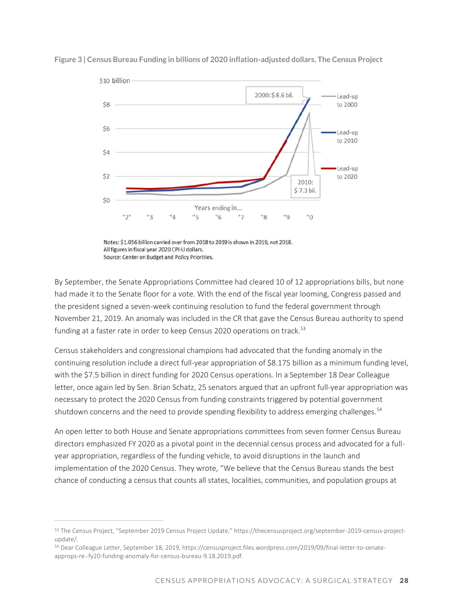

**Figure 3 | Census Bureau Funding in billions of 2020 inflation-adjusted dollars, The Census Project**

Notes: \$1.056 billion carried over from 2018 to 2019 is shown in 2019, not 2018. All figures in fiscal year 2020 CPI-U dollars. Source: Center on Budget and Policy Priorities.

By September, the Senate Appropriations Committee had cleared 10 of 12 appropriations bills, but none had made it to the Senate floor for a vote. With the end of the fiscal year looming, Congress passed and the president signed a seven-week continuing resolution to fund the federal government through November 21, 2019. An anomaly was included in the CR that gave the Census Bureau authority to spend funding at a faster rate in order to keep Census 2020 operations on track.<sup>53</sup>

Census stakeholders and congressional champions had advocated that the funding anomaly in the continuing resolution include a direct full-year appropriation of \$8.175 billion as a minimum funding level, with the \$7.5 billion in direct funding for 2020 Census operations. In a September 18 Dear Colleague letter, once again led by Sen. Brian Schatz, 25 senators argued that an upfront full-year appropriation was necessary to protect the 2020 Census from funding constraints triggered by potential government shutdown concerns and the need to provide spending flexibility to address emerging challenges.<sup>54</sup>

An open letter to both House and Senate appropriations committees from seven former Census Bureau directors emphasized FY 2020 as a pivotal point in the decennial census process and advocated for a fullyear appropriation, regardless of the funding vehicle, to avoid disruptions in the launch and implementation of the 2020 Census. They wrote, "We believe that the Census Bureau stands the best chance of conducting a census that counts all states, localities, communities, and population groups at

<sup>53</sup> The Census Project, "September 2019 Census Project Update," https://thecensusproject.org/september-2019-census-projectupdate/.

<sup>54</sup> Dear Colleague Letter, September 18, 2019, https://censusproject.files.wordpress.com/2019/09/final-letter-to-senateapprops-re.-fy20-funding-anomaly-for-census-bureau-9.18.2019.pdf.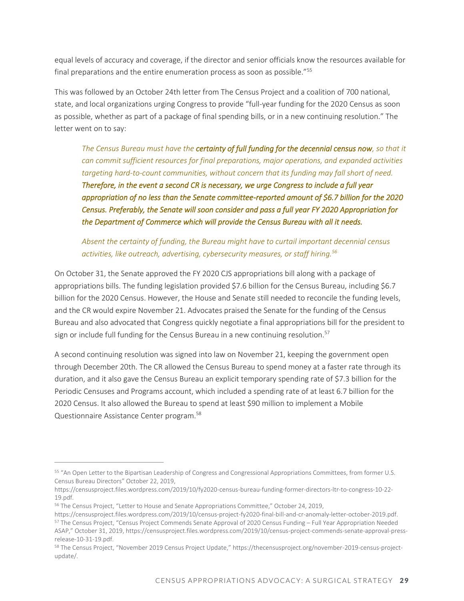equal levels of accuracy and coverage, if the director and senior officials know the resources available for final preparations and the entire enumeration process as soon as possible."<sup>55</sup>

This was followed by an October 24th letter from The Census Project and a coalition of 700 national, state, and local organizations urging Congress to provide "full-year funding for the 2020 Census as soon as possible, whether as part of a package of final spending bills, or in a new continuing resolution." The letter went on to say:

The Census Bureau must have the **certainty of full funding for the decennial census now**, so that it *can commit sufficient resources for final preparations, major operations, and expanded activities targeting hard-to-count communities, without concern that its funding may fall short of need. Therefore, in the event a second CR is necessary, we urge Congress to include a full year appropriation of no less than the Senate committee-reported amount of \$6.7 billion for the 2020 Census. Preferably, the Senate will soon consider and pass a full year FY 2020 Appropriation for the Department of Commerce which will provide the Census Bureau with all it needs.* 

*Absent the certainty of funding, the Bureau might have to curtail important decennial census activities, like outreach, advertising, cybersecurity measures, or staff hiring.<sup>56</sup>*

On October 31, the Senate approved the FY 2020 CJS appropriations bill along with a package of appropriations bills. The funding legislation provided \$7.6 billion for the Census Bureau, including \$6.7 billion for the 2020 Census. However, the House and Senate still needed to reconcile the funding levels, and the CR would expire November 21. Advocates praised the Senate for the funding of the Census Bureau and also advocated that Congress quickly negotiate a final appropriations bill for the president to sign or include full funding for the Census Bureau in a new continuing resolution.<sup>57</sup>

A second continuing resolution was signed into law on November 21, keeping the government open through December 20th. The CR allowed the Census Bureau to spend money at a faster rate through its duration, and it also gave the Census Bureau an explicit temporary spending rate of \$7.3 billion for the Periodic Censuses and Programs account, which included a spending rate of at least 6.7 billion for the 2020 Census. It also allowed the Bureau to spend at least \$90 million to implement a Mobile Questionnaire Assistance Center program.<sup>58</sup>

<sup>55</sup> "An Open Letter to the Bipartisan Leadership of Congress and Congressional Appropriations Committees, from former U.S. Census Bureau Directors" October 22, 2019,

https://censusproject.files.wordpress.com/2019/10/fy2020-census-bureau-funding-former-directors-ltr-to-congress-10-22- 19.pdf.

<sup>&</sup>lt;sup>56</sup> The Census Project, "Letter to House and Senate Appropriations Committee," October 24, 2019,

https://censusproject.files.wordpress.com/2019/10/census-project-fy2020-final-bill-and-cr-anomaly-letter-october-2019.pdf. <sup>57</sup> The Census Project, "Census Project Commends Senate Approval of 2020 Census Funding – Full Year Appropriation Needed ASAP," October 31, 2019, https://censusproject.files.wordpress.com/2019/10/census-project-commends-senate-approval-pressrelease-10-31-19.pdf.

<sup>58</sup> The Census Project, "November 2019 Census Project Update," https://thecensusproject.org/november-2019-census-projectupdate/.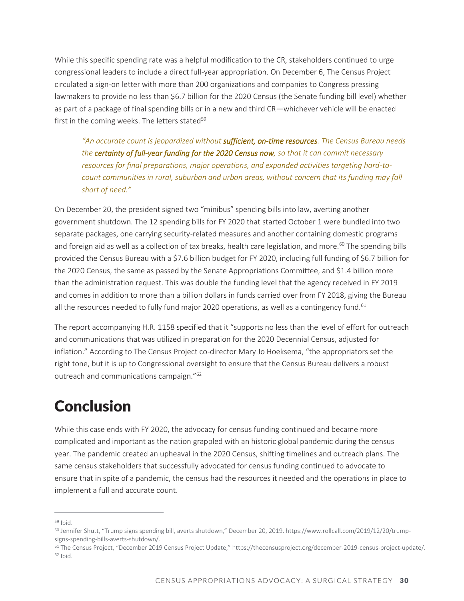While this specific spending rate was a helpful modification to the CR, stakeholders continued to urge congressional leaders to include a direct full-year appropriation. On December 6, The Census Project circulated a sign-on letter with more than 200 organizations and companies to Congress pressing lawmakers to provide no less than \$6.7 billion for the 2020 Census (the Senate funding bill level) whether as part of a package of final spending bills or in a new and third CR—whichever vehicle will be enacted first in the coming weeks. The letters stated $59$ 

*"An accurate count is jeopardized without sufficient, on-time resources. The Census Bureau needs the certainty of full-year funding for the 2020 Census now, so that it can commit necessary resources for final preparations, major operations, and expanded activities targeting hard-tocount communities in rural, suburban and urban areas, without concern that its funding may fall short of need."* 

On December 20, the president signed two "minibus" spending bills into law, averting another government shutdown. The 12 spending bills for FY 2020 that started October 1 were bundled into two separate packages, one carrying security-related measures and another containing domestic programs and foreign aid as well as a collection of tax breaks, health care legislation, and more.<sup>60</sup> The spending bills provided the Census Bureau with a \$7.6 billion budget for FY 2020, including full funding of \$6.7 billion for the 2020 Census, the same as passed by the Senate Appropriations Committee, and \$1.4 billion more than the administration request. This was double the funding level that the agency received in FY 2019 and comes in addition to more than a billion dollars in funds carried over from FY 2018, giving the Bureau all the resources needed to fully fund major 2020 operations, as well as a contingency fund.<sup>61</sup>

The report accompanying H.R. 1158 specified that it "supports no less than the level of effort for outreach and communications that was utilized in preparation for the 2020 Decennial Census, adjusted for inflation." According to The Census Project co-director Mary Jo Hoeksema, "the appropriators set the right tone, but it is up to Congressional oversight to ensure that the Census Bureau delivers a robust outreach and communications campaign."<sup>62</sup>

## Conclusion

While this case ends with FY 2020, the advocacy for census funding continued and became more complicated and important as the nation grappled with an historic global pandemic during the census year. The pandemic created an upheaval in the 2020 Census, shifting timelines and outreach plans. The same census stakeholders that successfully advocated for census funding continued to advocate to ensure that in spite of a pandemic, the census had the resources it needed and the operations in place to implement a full and accurate count.

<sup>59</sup> Ibid.

<sup>60</sup> Jennifer Shutt, "Trump signs spending bill, averts shutdown," December 20, 2019, https://www.rollcall.com/2019/12/20/trumpsigns-spending-bills-averts-shutdown/.

<sup>61</sup> The Census Project, "December 2019 Census Project Update," https://thecensusproject.org/december-2019-census-project-update/. <sup>62</sup> Ibid.